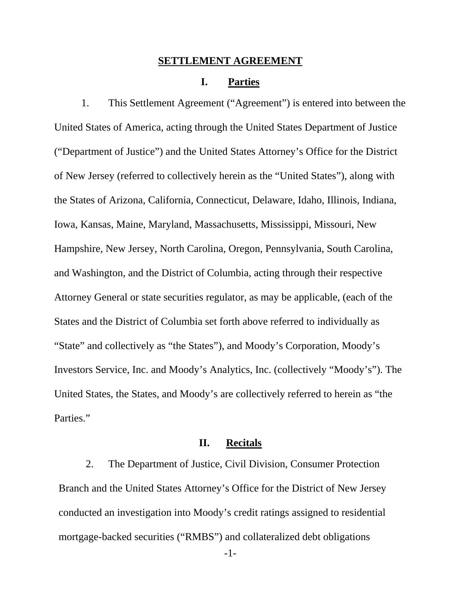#### **SETTLEMENT AGREEMENT**

### **I. Parties**

1. This Settlement Agreement ("Agreement") is entered into between the United States of America, acting through the United States Department of Justice ("Department of Justice") and the United States Attorney's Office for the District of New Jersey (referred to collectively herein as the "United States"), along with the States of Arizona, California, Connecticut, Delaware, Idaho, Illinois, Indiana, Iowa, Kansas, Maine, Maryland, Massachusetts, Mississippi, Missouri, New Hampshire, New Jersey, North Carolina, Oregon, Pennsylvania, South Carolina, and Washington, and the District of Columbia, acting through their respective Attorney General or state securities regulator, as may be applicable, (each of the States and the District of Columbia set forth above referred to individually as "State" and collectively as "the States"), and Moody's Corporation, Moody's Investors Service, Inc. and Moody's Analytics, Inc. (collectively "Moody's"). The United States, the States, and Moody's are collectively referred to herein as "the Parties."

### **II. Recitals**

2. The Department of Justice, Civil Division, Consumer Protection Branch and the United States Attorney's Office for the District of New Jersey conducted an investigation into Moody's credit ratings assigned to residential mortgage-backed securities ("RMBS") and collateralized debt obligations

-1-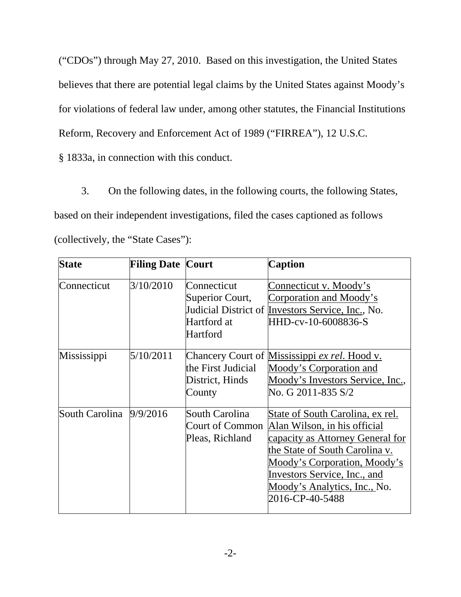("CDOs") through May 27, 2010. Based on this investigation, the United States believes that there are potential legal claims by the United States against Moody's for violations of federal law under, among other statutes, the Financial Institutions Reform, Recovery and Enforcement Act of 1989 ("FIRREA"), 12 U.S.C. § 1833a, in connection with this conduct.

3. On the following dates, in the following courts, the following States, based on their independent investigations, filed the cases captioned as follows (collectively, the "State Cases"):

| <b>State</b>   | <b>Filing Date Court</b> |                                                           | <b>Caption</b>                                                                                                                                                                                                                                            |
|----------------|--------------------------|-----------------------------------------------------------|-----------------------------------------------------------------------------------------------------------------------------------------------------------------------------------------------------------------------------------------------------------|
| Connecticut    | 3/10/2010                | Connecticut<br>Superior Court,<br>Hartford at<br>Hartford | Connecticut v. Moody's<br>Corporation and Moody's<br>Judicial District of <i>Investors Service</i> , Inc., No.<br>HHD-cv-10-6008836-S                                                                                                                     |
| Mississippi    | 5/10/2011                | the First Judicial<br>District, Hinds<br>County           | Chancery Court of Mississippi ex rel. Hood v.<br>Moody's Corporation and<br>Moody's Investors Service, Inc.,<br>No. G 2011-835 S/2                                                                                                                        |
| South Carolina | 9/9/2016                 | South Carolina<br>Court of Common<br>Pleas, Richland      | State of South Carolina, ex rel.<br>Alan Wilson, in his official<br>capacity as Attorney General for<br>the State of South Carolina v.<br>Moody's Corporation, Moody's<br>Investors Service, Inc., and<br>Moody's Analytics, Inc., No.<br>2016-CP-40-5488 |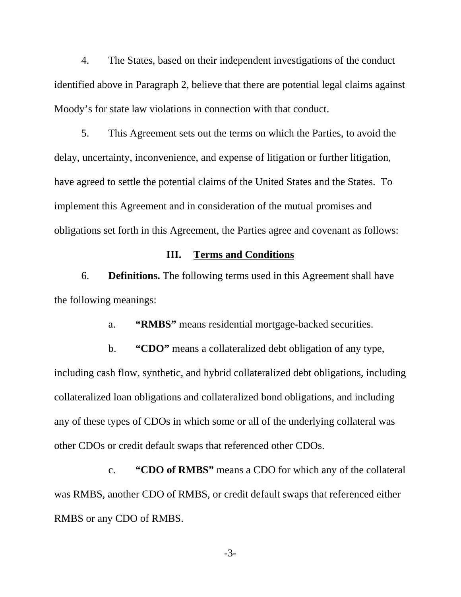4. The States, based on their independent investigations of the conduct identified above in Paragraph 2, believe that there are potential legal claims against Moody's for state law violations in connection with that conduct.

5. This Agreement sets out the terms on which the Parties, to avoid the delay, uncertainty, inconvenience, and expense of litigation or further litigation, have agreed to settle the potential claims of the United States and the States. To implement this Agreement and in consideration of the mutual promises and obligations set forth in this Agreement, the Parties agree and covenant as follows:

# **III. Terms and Conditions**

6. **Definitions.** The following terms used in this Agreement shall have the following meanings:

a. **"RMBS"** means residential mortgage-backed securities.

b. **"CDO"** means a collateralized debt obligation of any type, including cash flow, synthetic, and hybrid collateralized debt obligations, including collateralized loan obligations and collateralized bond obligations, and including any of these types of CDOs in which some or all of the underlying collateral was other CDOs or credit default swaps that referenced other CDOs.

c. **"CDO of RMBS"** means a CDO for which any of the collateral was RMBS, another CDO of RMBS, or credit default swaps that referenced either RMBS or any CDO of RMBS.

-3-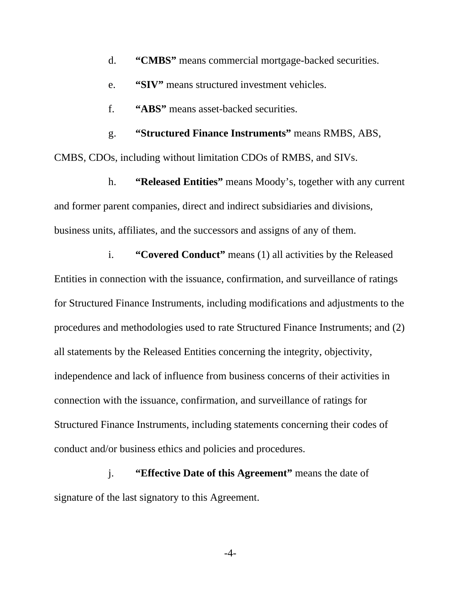- d. **"CMBS"** means commercial mortgage-backed securities.
- e. **"SIV"** means structured investment vehicles.
- f. **"ABS"** means asset-backed securities.

g. **"Structured Finance Instruments"** means RMBS, ABS, CMBS, CDOs, including without limitation CDOs of RMBS, and SIVs.

h. **"Released Entities"** means Moody's, together with any current and former parent companies, direct and indirect subsidiaries and divisions, business units, affiliates, and the successors and assigns of any of them.

i. **"Covered Conduct"** means (1) all activities by the Released Entities in connection with the issuance, confirmation, and surveillance of ratings for Structured Finance Instruments, including modifications and adjustments to the procedures and methodologies used to rate Structured Finance Instruments; and (2) all statements by the Released Entities concerning the integrity, objectivity, independence and lack of influence from business concerns of their activities in connection with the issuance, confirmation, and surveillance of ratings for Structured Finance Instruments, including statements concerning their codes of conduct and/or business ethics and policies and procedures.

j. **"Effective Date of this Agreement"** means the date of signature of the last signatory to this Agreement.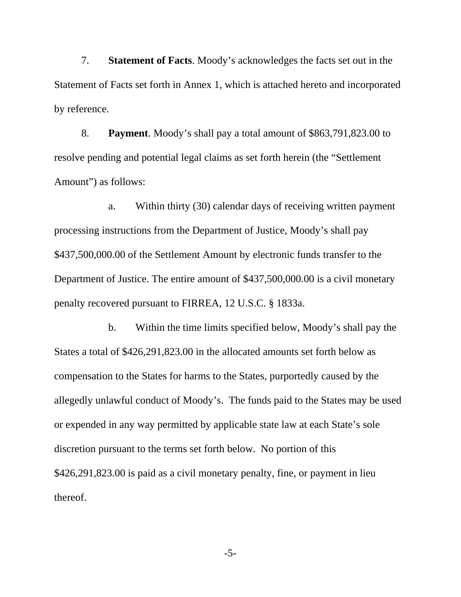7. **Statement of Facts**. Moody's acknowledges the facts set out in the Statement of Facts set forth in Annex 1, which is attached hereto and incorporated by reference.

8. **Payment**. Moody's shall pay a total amount of \$863,791,823.00 to resolve pending and potential legal claims as set forth herein (the "Settlement Amount") as follows:

a. Within thirty (30) calendar days of receiving written payment processing instructions from the Department of Justice, Moody's shall pay \$437,500,000.00 of the Settlement Amount by electronic funds transfer to the Department of Justice. The entire amount of \$437,500,000.00 is a civil monetary penalty recovered pursuant to FIRREA, 12 U.S.C. § 1833a.

b. Within the time limits specified below, Moody's shall pay the States a total of \$426,291,823.00 in the allocated amounts set forth below as compensation to the States for harms to the States, purportedly caused by the allegedly unlawful conduct of Moody's. The funds paid to the States may be used or expended in any way permitted by applicable state law at each State's sole discretion pursuant to the terms set forth below. No portion of this \$426,291,823.00 is paid as a civil monetary penalty, fine, or payment in lieu thereof.

-5-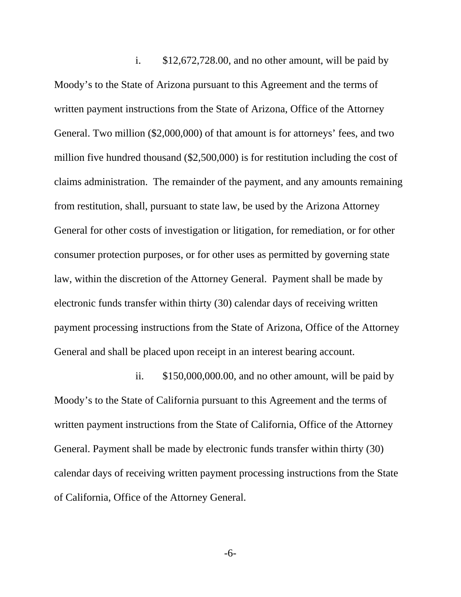i. \$12,672,728.00, and no other amount, will be paid by Moody's to the State of Arizona pursuant to this Agreement and the terms of written payment instructions from the State of Arizona, Office of the Attorney General. Two million (\$2,000,000) of that amount is for attorneys' fees, and two million five hundred thousand (\$2,500,000) is for restitution including the cost of claims administration. The remainder of the payment, and any amounts remaining from restitution, shall, pursuant to state law, be used by the Arizona Attorney General for other costs of investigation or litigation, for remediation, or for other consumer protection purposes, or for other uses as permitted by governing state law, within the discretion of the Attorney General. Payment shall be made by electronic funds transfer within thirty (30) calendar days of receiving written payment processing instructions from the State of Arizona, Office of the Attorney General and shall be placed upon receipt in an interest bearing account.

ii. \$150,000,000.00, and no other amount, will be paid by Moody's to the State of California pursuant to this Agreement and the terms of written payment instructions from the State of California, Office of the Attorney General. Payment shall be made by electronic funds transfer within thirty (30) calendar days of receiving written payment processing instructions from the State of California, Office of the Attorney General.

-6-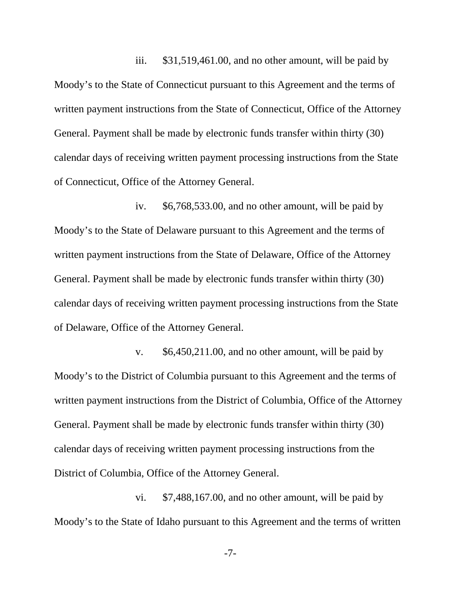iii. \$31,519,461.00, and no other amount, will be paid by Moody's to the State of Connecticut pursuant to this Agreement and the terms of written payment instructions from the State of Connecticut, Office of the Attorney General. Payment shall be made by electronic funds transfer within thirty (30) calendar days of receiving written payment processing instructions from the State of Connecticut, Office of the Attorney General.

iv. \$6,768,533.00, and no other amount, will be paid by Moody's to the State of Delaware pursuant to this Agreement and the terms of written payment instructions from the State of Delaware, Office of the Attorney General. Payment shall be made by electronic funds transfer within thirty (30) calendar days of receiving written payment processing instructions from the State of Delaware, Office of the Attorney General.

v. \$6,450,211.00, and no other amount, will be paid by Moody's to the District of Columbia pursuant to this Agreement and the terms of written payment instructions from the District of Columbia, Office of the Attorney General. Payment shall be made by electronic funds transfer within thirty (30) calendar days of receiving written payment processing instructions from the District of Columbia, Office of the Attorney General.

vi. \$7,488,167.00, and no other amount, will be paid by Moody's to the State of Idaho pursuant to this Agreement and the terms of written

-7-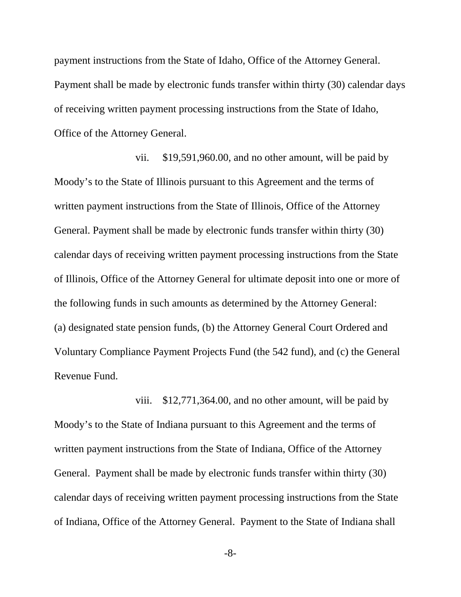payment instructions from the State of Idaho, Office of the Attorney General. Payment shall be made by electronic funds transfer within thirty (30) calendar days of receiving written payment processing instructions from the State of Idaho, Office of the Attorney General.

vii. \$19,591,960.00, and no other amount, will be paid by Moody's to the State of Illinois pursuant to this Agreement and the terms of written payment instructions from the State of Illinois, Office of the Attorney General. Payment shall be made by electronic funds transfer within thirty (30) calendar days of receiving written payment processing instructions from the State of Illinois, Office of the Attorney General for ultimate deposit into one or more of the following funds in such amounts as determined by the Attorney General: (a) designated state pension funds, (b) the Attorney General Court Ordered and Voluntary Compliance Payment Projects Fund (the 542 fund), and (c) the General Revenue Fund.

viii. \$12,771,364.00, and no other amount, will be paid by Moody's to the State of Indiana pursuant to this Agreement and the terms of written payment instructions from the State of Indiana, Office of the Attorney General. Payment shall be made by electronic funds transfer within thirty (30) calendar days of receiving written payment processing instructions from the State of Indiana, Office of the Attorney General. Payment to the State of Indiana shall

-8-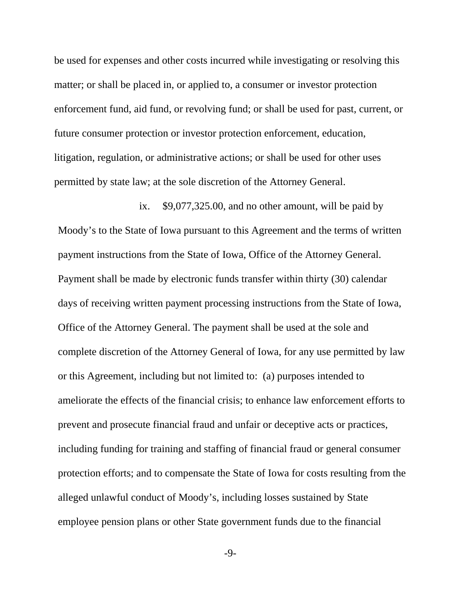be used for expenses and other costs incurred while investigating or resolving this matter; or shall be placed in, or applied to, a consumer or investor protection enforcement fund, aid fund, or revolving fund; or shall be used for past, current, or future consumer protection or investor protection enforcement, education, litigation, regulation, or administrative actions; or shall be used for other uses permitted by state law; at the sole discretion of the Attorney General.

ix. \$9,077,325.00, and no other amount, will be paid by Moody's to the State of Iowa pursuant to this Agreement and the terms of written payment instructions from the State of Iowa, Office of the Attorney General. Payment shall be made by electronic funds transfer within thirty (30) calendar days of receiving written payment processing instructions from the State of Iowa, Office of the Attorney General. The payment shall be used at the sole and complete discretion of the Attorney General of Iowa, for any use permitted by law or this Agreement, including but not limited to: (a) purposes intended to ameliorate the effects of the financial crisis; to enhance law enforcement efforts to prevent and prosecute financial fraud and unfair or deceptive acts or practices, including funding for training and staffing of financial fraud or general consumer protection efforts; and to compensate the State of Iowa for costs resulting from the alleged unlawful conduct of Moody's, including losses sustained by State employee pension plans or other State government funds due to the financial

-9-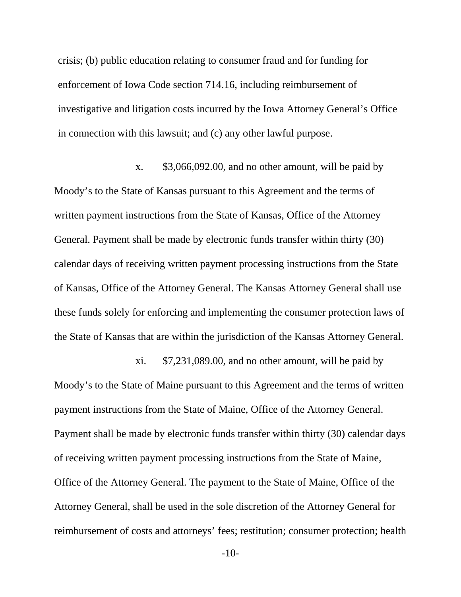crisis; (b) public education relating to consumer fraud and for funding for enforcement of Iowa Code section 714.16, including reimbursement of investigative and litigation costs incurred by the Iowa Attorney General's Office in connection with this lawsuit; and (c) any other lawful purpose.

x. \$3,066,092.00, and no other amount, will be paid by Moody's to the State of Kansas pursuant to this Agreement and the terms of written payment instructions from the State of Kansas, Office of the Attorney General. Payment shall be made by electronic funds transfer within thirty (30) calendar days of receiving written payment processing instructions from the State of Kansas, Office of the Attorney General. The Kansas Attorney General shall use these funds solely for enforcing and implementing the consumer protection laws of the State of Kansas that are within the jurisdiction of the Kansas Attorney General.

xi. \$7,231,089.00, and no other amount, will be paid by Moody's to the State of Maine pursuant to this Agreement and the terms of written payment instructions from the State of Maine, Office of the Attorney General. Payment shall be made by electronic funds transfer within thirty (30) calendar days of receiving written payment processing instructions from the State of Maine, Office of the Attorney General. The payment to the State of Maine, Office of the Attorney General, shall be used in the sole discretion of the Attorney General for reimbursement of costs and attorneys' fees; restitution; consumer protection; health

-10-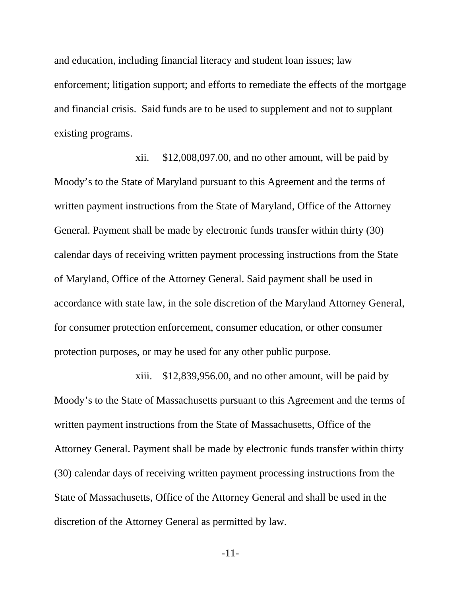and education, including financial literacy and student loan issues; law enforcement; litigation support; and efforts to remediate the effects of the mortgage and financial crisis. Said funds are to be used to supplement and not to supplant existing programs.

xii. \$12,008,097.00, and no other amount, will be paid by Moody's to the State of Maryland pursuant to this Agreement and the terms of written payment instructions from the State of Maryland, Office of the Attorney General. Payment shall be made by electronic funds transfer within thirty (30) calendar days of receiving written payment processing instructions from the State of Maryland, Office of the Attorney General. Said payment shall be used in accordance with state law, in the sole discretion of the Maryland Attorney General, for consumer protection enforcement, consumer education, or other consumer protection purposes, or may be used for any other public purpose.

xiii. \$12,839,956.00, and no other amount, will be paid by Moody's to the State of Massachusetts pursuant to this Agreement and the terms of written payment instructions from the State of Massachusetts, Office of the Attorney General. Payment shall be made by electronic funds transfer within thirty (30) calendar days of receiving written payment processing instructions from the State of Massachusetts, Office of the Attorney General and shall be used in the discretion of the Attorney General as permitted by law.

-11-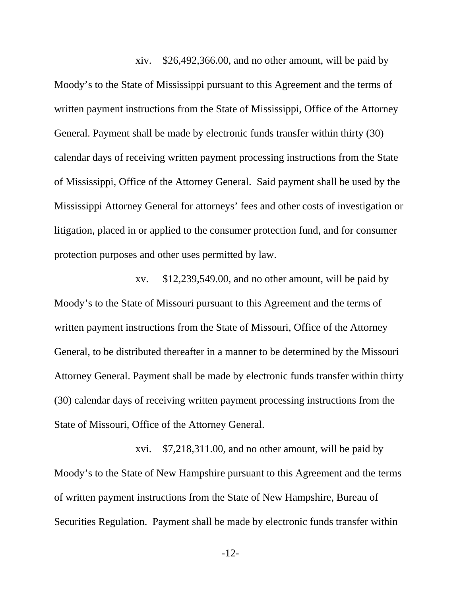xiv. \$26,492,366.00, and no other amount, will be paid by Moody's to the State of Mississippi pursuant to this Agreement and the terms of written payment instructions from the State of Mississippi, Office of the Attorney General. Payment shall be made by electronic funds transfer within thirty (30) calendar days of receiving written payment processing instructions from the State of Mississippi, Office of the Attorney General. Said payment shall be used by the Mississippi Attorney General for attorneys' fees and other costs of investigation or litigation, placed in or applied to the consumer protection fund, and for consumer protection purposes and other uses permitted by law.

xv. \$12,239,549.00, and no other amount, will be paid by Moody's to the State of Missouri pursuant to this Agreement and the terms of written payment instructions from the State of Missouri, Office of the Attorney General, to be distributed thereafter in a manner to be determined by the Missouri Attorney General. Payment shall be made by electronic funds transfer within thirty (30) calendar days of receiving written payment processing instructions from the State of Missouri, Office of the Attorney General.

xvi. \$7,218,311.00, and no other amount, will be paid by Moody's to the State of New Hampshire pursuant to this Agreement and the terms of written payment instructions from the State of New Hampshire, Bureau of Securities Regulation. Payment shall be made by electronic funds transfer within

-12-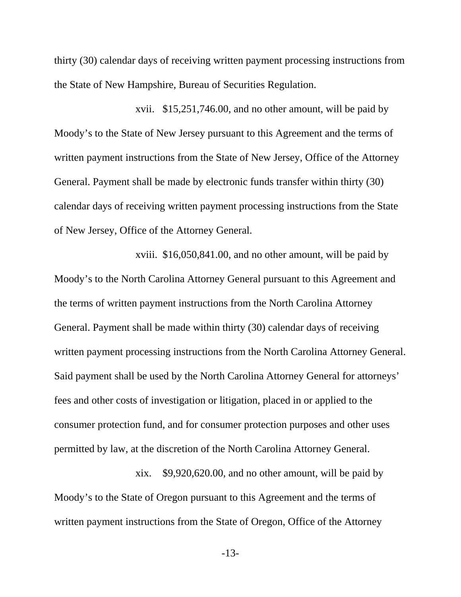thirty (30) calendar days of receiving written payment processing instructions from the State of New Hampshire, Bureau of Securities Regulation.

xvii. \$15,251,746.00, and no other amount, will be paid by Moody's to the State of New Jersey pursuant to this Agreement and the terms of written payment instructions from the State of New Jersey, Office of the Attorney General. Payment shall be made by electronic funds transfer within thirty (30) calendar days of receiving written payment processing instructions from the State of New Jersey, Office of the Attorney General.

xviii. \$16,050,841.00, and no other amount, will be paid by Moody's to the North Carolina Attorney General pursuant to this Agreement and the terms of written payment instructions from the North Carolina Attorney General. Payment shall be made within thirty (30) calendar days of receiving written payment processing instructions from the North Carolina Attorney General. Said payment shall be used by the North Carolina Attorney General for attorneys' fees and other costs of investigation or litigation, placed in or applied to the consumer protection fund, and for consumer protection purposes and other uses permitted by law, at the discretion of the North Carolina Attorney General.

xix. \$9,920,620.00, and no other amount, will be paid by Moody's to the State of Oregon pursuant to this Agreement and the terms of written payment instructions from the State of Oregon, Office of the Attorney

-13-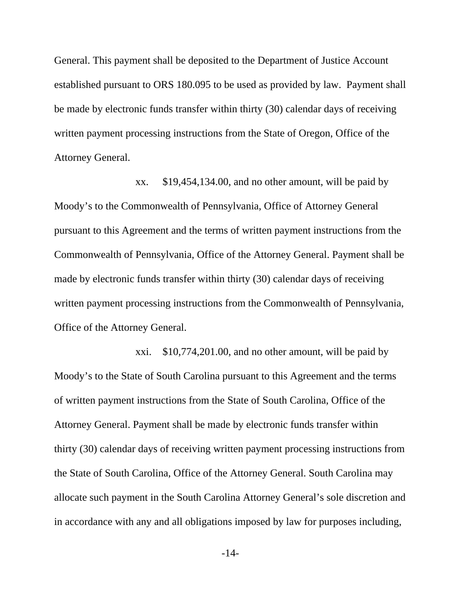General. This payment shall be deposited to the Department of Justice Account established pursuant to ORS 180.095 to be used as provided by law. Payment shall be made by electronic funds transfer within thirty (30) calendar days of receiving written payment processing instructions from the State of Oregon, Office of the Attorney General.

xx. \$19,454,134.00, and no other amount, will be paid by Moody's to the Commonwealth of Pennsylvania, Office of Attorney General pursuant to this Agreement and the terms of written payment instructions from the Commonwealth of Pennsylvania, Office of the Attorney General. Payment shall be made by electronic funds transfer within thirty (30) calendar days of receiving written payment processing instructions from the Commonwealth of Pennsylvania, Office of the Attorney General.

xxi. \$10,774,201.00, and no other amount, will be paid by Moody's to the State of South Carolina pursuant to this Agreement and the terms of written payment instructions from the State of South Carolina, Office of the Attorney General. Payment shall be made by electronic funds transfer within thirty (30) calendar days of receiving written payment processing instructions from the State of South Carolina, Office of the Attorney General. South Carolina may allocate such payment in the South Carolina Attorney General's sole discretion and in accordance with any and all obligations imposed by law for purposes including,

-14-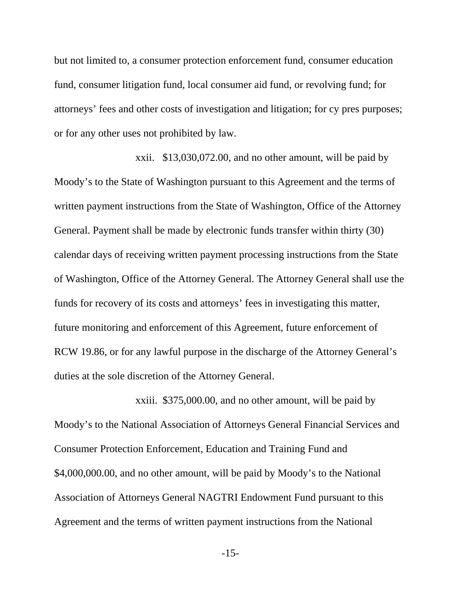but not limited to, a consumer protection enforcement fund, consumer education fund, consumer litigation fund, local consumer aid fund, or revolving fund; for attorneys' fees and other costs of investigation and litigation; for cy pres purposes; or for any other uses not prohibited by law.

xxii. \$13,030,072.00, and no other amount, will be paid by Moody's to the State of Washington pursuant to this Agreement and the terms of written payment instructions from the State of Washington, Office of the Attorney General. Payment shall be made by electronic funds transfer within thirty (30) calendar days of receiving written payment processing instructions from the State of Washington, Office of the Attorney General. The Attorney General shall use the funds for recovery of its costs and attorneys' fees in investigating this matter, future monitoring and enforcement of this Agreement, future enforcement of RCW 19.86, or for any lawful purpose in the discharge of the Attorney General's duties at the sole discretion of the Attorney General.

xxiii. \$375,000.00, and no other amount, will be paid by Moody's to the National Association of Attorneys General Financial Services and Consumer Protection Enforcement, Education and Training Fund and \$4,000,000.00, and no other amount, will be paid by Moody's to the National Association of Attorneys General NAGTRI Endowment Fund pursuant to this Agreement and the terms of written payment instructions from the National

-15-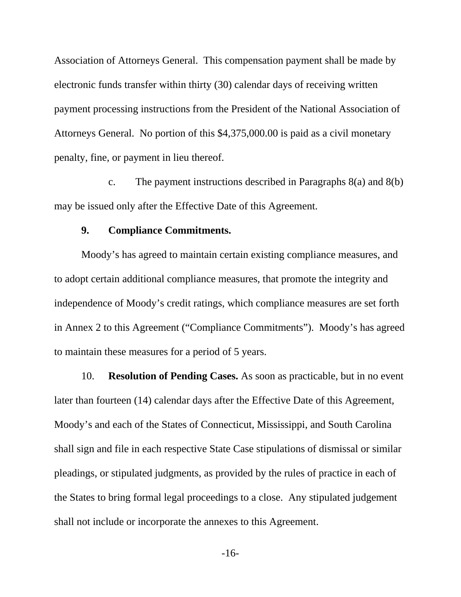Association of Attorneys General. This compensation payment shall be made by electronic funds transfer within thirty (30) calendar days of receiving written payment processing instructions from the President of the National Association of Attorneys General. No portion of this \$4,375,000.00 is paid as a civil monetary penalty, fine, or payment in lieu thereof.

c. The payment instructions described in Paragraphs 8(a) and 8(b) may be issued only after the Effective Date of this Agreement.

## **9. Compliance Commitments.**

Moody's has agreed to maintain certain existing compliance measures, and to adopt certain additional compliance measures, that promote the integrity and independence of Moody's credit ratings, which compliance measures are set forth in Annex 2 to this Agreement ("Compliance Commitments"). Moody's has agreed to maintain these measures for a period of 5 years.

10. **Resolution of Pending Cases.** As soon as practicable, but in no event later than fourteen (14) calendar days after the Effective Date of this Agreement, Moody's and each of the States of Connecticut, Mississippi, and South Carolina shall sign and file in each respective State Case stipulations of dismissal or similar pleadings, or stipulated judgments, as provided by the rules of practice in each of the States to bring formal legal proceedings to a close. Any stipulated judgement shall not include or incorporate the annexes to this Agreement.

-16-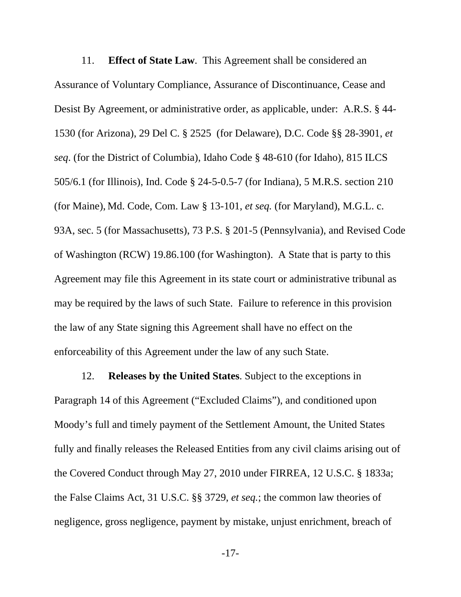11. **Effect of State Law**. This Agreement shall be considered an Assurance of Voluntary Compliance, Assurance of Discontinuance, Cease and Desist By Agreement, or administrative order, as applicable, under: A.R.S. § 44- 1530 (for Arizona), 29 Del C. § 2525 (for Delaware), D.C. Code §§ 28-3901, *et seq*. (for the District of Columbia), Idaho Code § 48-610 (for Idaho), 815 ILCS 505/6.1 (for Illinois), Ind. Code § 24-5-0.5-7 (for Indiana), 5 M.R.S. section 210 (for Maine), Md. Code, Com. Law § 13-101, *et seq.* (for Maryland), M.G.L. c. 93A, sec. 5 (for Massachusetts), 73 P.S. § 201-5 (Pennsylvania), and Revised Code of Washington (RCW) 19.86.100 (for Washington). A State that is party to this Agreement may file this Agreement in its state court or administrative tribunal as may be required by the laws of such State. Failure to reference in this provision the law of any State signing this Agreement shall have no effect on the enforceability of this Agreement under the law of any such State.

12. **Releases by the United States**. Subject to the exceptions in Paragraph 14 of this Agreement ("Excluded Claims"), and conditioned upon Moody's full and timely payment of the Settlement Amount, the United States fully and finally releases the Released Entities from any civil claims arising out of the Covered Conduct through May 27, 2010 under FIRREA, 12 U.S.C. § 1833a; the False Claims Act, 31 U.S.C. §§ 3729, *et seq.*; the common law theories of negligence, gross negligence, payment by mistake, unjust enrichment, breach of

-17-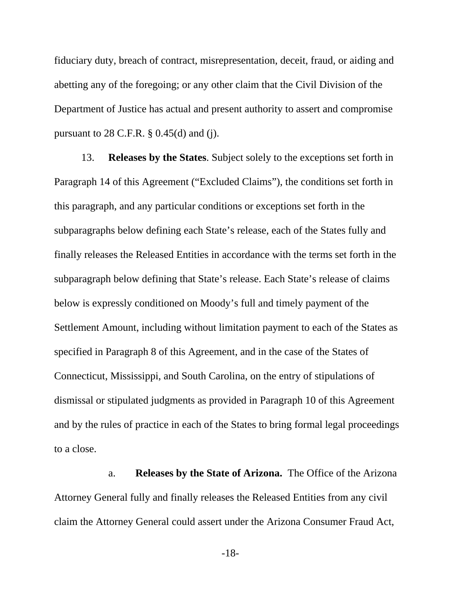fiduciary duty, breach of contract, misrepresentation, deceit, fraud, or aiding and abetting any of the foregoing; or any other claim that the Civil Division of the Department of Justice has actual and present authority to assert and compromise pursuant to  $28$  C.F.R.  $\S$  0.45(d) and (j).

13. **Releases by the States**. Subject solely to the exceptions set forth in Paragraph 14 of this Agreement ("Excluded Claims"), the conditions set forth in this paragraph, and any particular conditions or exceptions set forth in the subparagraphs below defining each State's release, each of the States fully and finally releases the Released Entities in accordance with the terms set forth in the subparagraph below defining that State's release. Each State's release of claims below is expressly conditioned on Moody's full and timely payment of the Settlement Amount, including without limitation payment to each of the States as specified in Paragraph 8 of this Agreement, and in the case of the States of Connecticut, Mississippi, and South Carolina, on the entry of stipulations of dismissal or stipulated judgments as provided in Paragraph 10 of this Agreement and by the rules of practice in each of the States to bring formal legal proceedings to a close.

a. **Releases by the State of Arizona.** The Office of the Arizona Attorney General fully and finally releases the Released Entities from any civil claim the Attorney General could assert under the Arizona Consumer Fraud Act,

-18-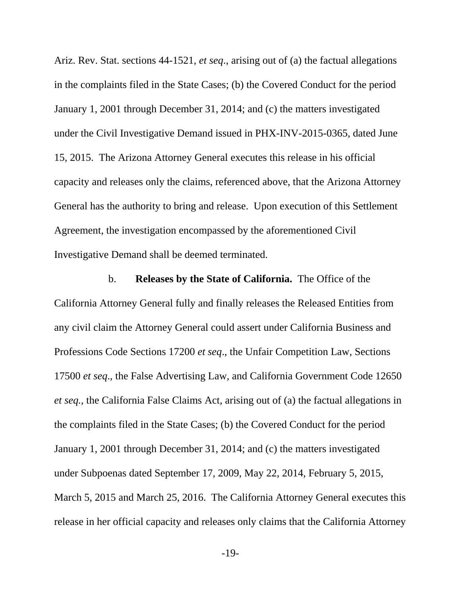Ariz. Rev. Stat. sections 44-1521, *et seq*., arising out of (a) the factual allegations in the complaints filed in the State Cases; (b) the Covered Conduct for the period January 1, 2001 through December 31, 2014; and (c) the matters investigated under the Civil Investigative Demand issued in PHX-INV-2015-0365, dated June 15, 2015. The Arizona Attorney General executes this release in his official capacity and releases only the claims, referenced above, that the Arizona Attorney General has the authority to bring and release. Upon execution of this Settlement Agreement, the investigation encompassed by the aforementioned Civil Investigative Demand shall be deemed terminated.

b. **Releases by the State of California.** The Office of the California Attorney General fully and finally releases the Released Entities from any civil claim the Attorney General could assert under California Business and Professions Code Sections 17200 *et seq*., the Unfair Competition Law, Sections 17500 *et seq*., the False Advertising Law, and California Government Code 12650 *et seq.*, the California False Claims Act, arising out of (a) the factual allegations in the complaints filed in the State Cases; (b) the Covered Conduct for the period January 1, 2001 through December 31, 2014; and (c) the matters investigated under Subpoenas dated September 17, 2009, May 22, 2014, February 5, 2015, March 5, 2015 and March 25, 2016. The California Attorney General executes this release in her official capacity and releases only claims that the California Attorney

-19-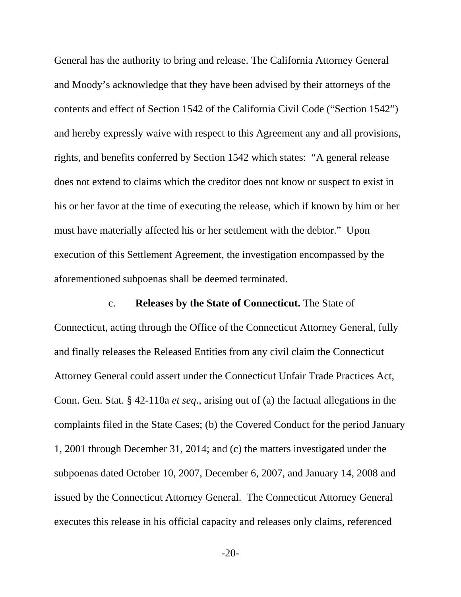General has the authority to bring and release. The California Attorney General and Moody's acknowledge that they have been advised by their attorneys of the contents and effect of Section 1542 of the California Civil Code ("Section 1542") and hereby expressly waive with respect to this Agreement any and all provisions, rights, and benefits conferred by Section 1542 which states: "A general release does not extend to claims which the creditor does not know or suspect to exist in his or her favor at the time of executing the release, which if known by him or her must have materially affected his or her settlement with the debtor." Upon execution of this Settlement Agreement, the investigation encompassed by the aforementioned subpoenas shall be deemed terminated.

# c. **Releases by the State of Connecticut.** The State of

Connecticut, acting through the Office of the Connecticut Attorney General, fully and finally releases the Released Entities from any civil claim the Connecticut Attorney General could assert under the Connecticut Unfair Trade Practices Act, Conn. Gen. Stat. § 42-110a *et seq*., arising out of (a) the factual allegations in the complaints filed in the State Cases; (b) the Covered Conduct for the period January 1, 2001 through December 31, 2014; and (c) the matters investigated under the subpoenas dated October 10, 2007, December 6, 2007, and January 14, 2008 and issued by the Connecticut Attorney General. The Connecticut Attorney General executes this release in his official capacity and releases only claims, referenced

-20-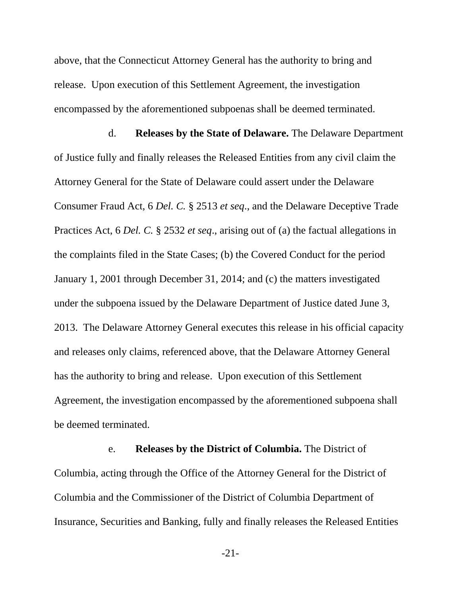above, that the Connecticut Attorney General has the authority to bring and release. Upon execution of this Settlement Agreement, the investigation encompassed by the aforementioned subpoenas shall be deemed terminated.

d. **Releases by the State of Delaware.** The Delaware Department of Justice fully and finally releases the Released Entities from any civil claim the Attorney General for the State of Delaware could assert under the Delaware Consumer Fraud Act, 6 *Del. C.* § 2513 *et seq*., and the Delaware Deceptive Trade Practices Act, 6 *Del. C.* § 2532 *et seq*., arising out of (a) the factual allegations in the complaints filed in the State Cases; (b) the Covered Conduct for the period January 1, 2001 through December 31, 2014; and (c) the matters investigated under the subpoena issued by the Delaware Department of Justice dated June 3, 2013. The Delaware Attorney General executes this release in his official capacity and releases only claims, referenced above, that the Delaware Attorney General has the authority to bring and release. Upon execution of this Settlement Agreement, the investigation encompassed by the aforementioned subpoena shall be deemed terminated.

e. **Releases by the District of Columbia.** The District of Columbia, acting through the Office of the Attorney General for the District of Columbia and the Commissioner of the District of Columbia Department of Insurance, Securities and Banking, fully and finally releases the Released Entities

-21-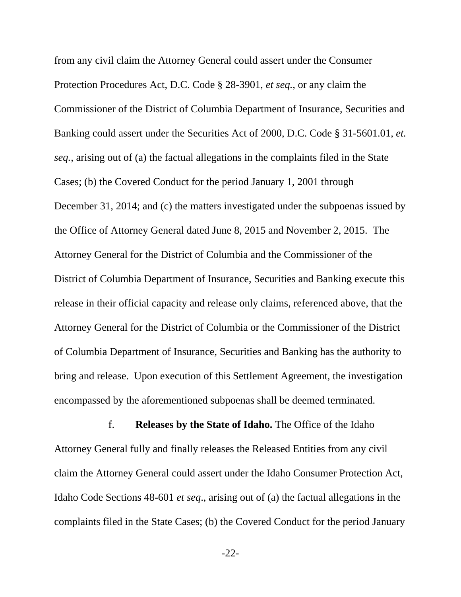from any civil claim the Attorney General could assert under the Consumer Protection Procedures Act, D.C. Code § 28-3901, *et seq.*, or any claim the Commissioner of the District of Columbia Department of Insurance, Securities and Banking could assert under the Securities Act of 2000, D.C. Code § 31-5601.01, *et. seq.*, arising out of (a) the factual allegations in the complaints filed in the State Cases; (b) the Covered Conduct for the period January 1, 2001 through December 31, 2014; and (c) the matters investigated under the subpoenas issued by the Office of Attorney General dated June 8, 2015 and November 2, 2015. The Attorney General for the District of Columbia and the Commissioner of the District of Columbia Department of Insurance, Securities and Banking execute this release in their official capacity and release only claims, referenced above, that the Attorney General for the District of Columbia or the Commissioner of the District of Columbia Department of Insurance, Securities and Banking has the authority to bring and release. Upon execution of this Settlement Agreement, the investigation encompassed by the aforementioned subpoenas shall be deemed terminated.

f. **Releases by the State of Idaho.** The Office of the Idaho Attorney General fully and finally releases the Released Entities from any civil claim the Attorney General could assert under the Idaho Consumer Protection Act, Idaho Code Sections 48-601 *et seq*., arising out of (a) the factual allegations in the complaints filed in the State Cases; (b) the Covered Conduct for the period January

-22-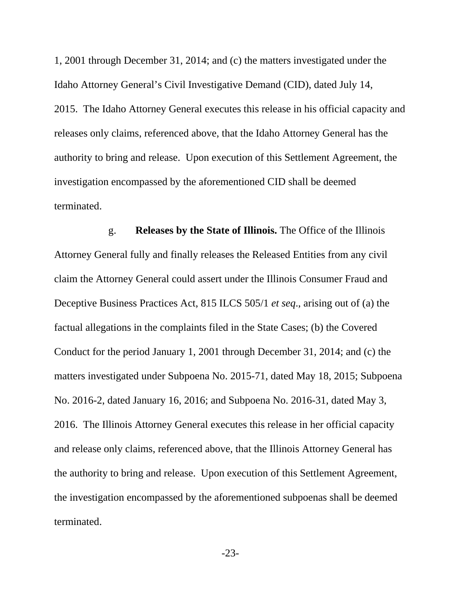1, 2001 through December 31, 2014; and (c) the matters investigated under the Idaho Attorney General's Civil Investigative Demand (CID), dated July 14, 2015. The Idaho Attorney General executes this release in his official capacity and releases only claims, referenced above, that the Idaho Attorney General has the authority to bring and release. Upon execution of this Settlement Agreement, the investigation encompassed by the aforementioned CID shall be deemed terminated.

g. **Releases by the State of Illinois.** The Office of the Illinois Attorney General fully and finally releases the Released Entities from any civil claim the Attorney General could assert under the Illinois Consumer Fraud and Deceptive Business Practices Act, 815 ILCS 505/1 *et seq*., arising out of (a) the factual allegations in the complaints filed in the State Cases; (b) the Covered Conduct for the period January 1, 2001 through December 31, 2014; and (c) the matters investigated under Subpoena No. 2015-71, dated May 18, 2015; Subpoena No. 2016-2, dated January 16, 2016; and Subpoena No. 2016-31, dated May 3, 2016. The Illinois Attorney General executes this release in her official capacity and release only claims, referenced above, that the Illinois Attorney General has the authority to bring and release. Upon execution of this Settlement Agreement, the investigation encompassed by the aforementioned subpoenas shall be deemed terminated.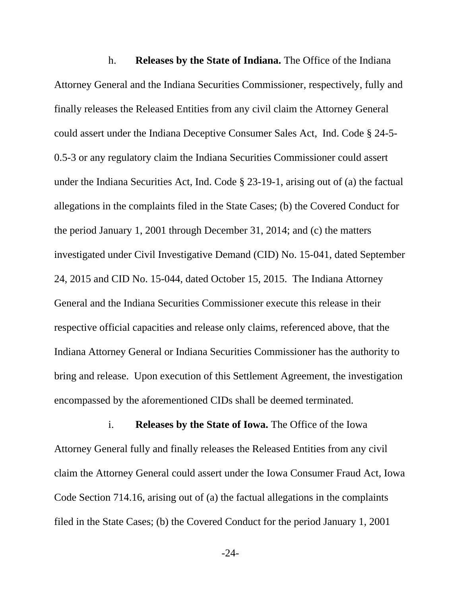h. **Releases by the State of Indiana.** The Office of the Indiana Attorney General and the Indiana Securities Commissioner, respectively, fully and finally releases the Released Entities from any civil claim the Attorney General could assert under the Indiana Deceptive Consumer Sales Act, Ind. Code § 24-5- 0.5-3 or any regulatory claim the Indiana Securities Commissioner could assert under the Indiana Securities Act, Ind. Code § 23-19-1, arising out of (a) the factual allegations in the complaints filed in the State Cases; (b) the Covered Conduct for the period January 1, 2001 through December 31, 2014; and (c) the matters investigated under Civil Investigative Demand (CID) No. 15-041, dated September 24, 2015 and CID No. 15-044, dated October 15, 2015. The Indiana Attorney General and the Indiana Securities Commissioner execute this release in their respective official capacities and release only claims, referenced above, that the Indiana Attorney General or Indiana Securities Commissioner has the authority to bring and release. Upon execution of this Settlement Agreement, the investigation encompassed by the aforementioned CIDs shall be deemed terminated.

i. **Releases by the State of Iowa.** The Office of the Iowa Attorney General fully and finally releases the Released Entities from any civil claim the Attorney General could assert under the Iowa Consumer Fraud Act, Iowa Code Section 714.16, arising out of (a) the factual allegations in the complaints filed in the State Cases; (b) the Covered Conduct for the period January 1, 2001

-24-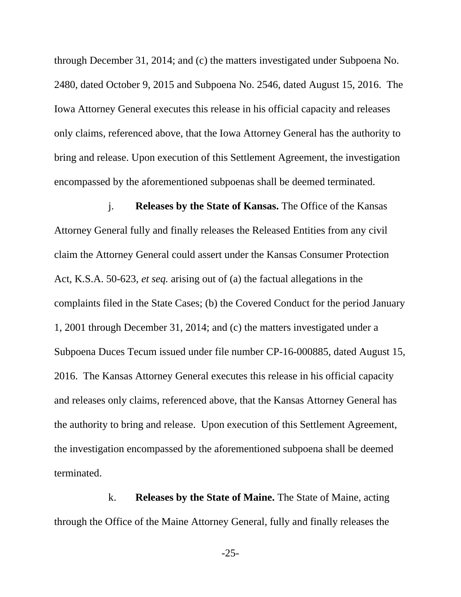through December 31, 2014; and (c) the matters investigated under Subpoena No. 2480, dated October 9, 2015 and Subpoena No. 2546, dated August 15, 2016. The Iowa Attorney General executes this release in his official capacity and releases only claims, referenced above, that the Iowa Attorney General has the authority to bring and release. Upon execution of this Settlement Agreement, the investigation encompassed by the aforementioned subpoenas shall be deemed terminated.

j. **Releases by the State of Kansas.** The Office of the Kansas Attorney General fully and finally releases the Released Entities from any civil claim the Attorney General could assert under the Kansas Consumer Protection Act, K.S.A. 50-623, *et seq.* arising out of (a) the factual allegations in the complaints filed in the State Cases; (b) the Covered Conduct for the period January 1, 2001 through December 31, 2014; and (c) the matters investigated under a Subpoena Duces Tecum issued under file number CP-16-000885, dated August 15, 2016. The Kansas Attorney General executes this release in his official capacity and releases only claims, referenced above, that the Kansas Attorney General has the authority to bring and release. Upon execution of this Settlement Agreement, the investigation encompassed by the aforementioned subpoena shall be deemed terminated.

k. **Releases by the State of Maine.** The State of Maine, acting through the Office of the Maine Attorney General, fully and finally releases the

-25-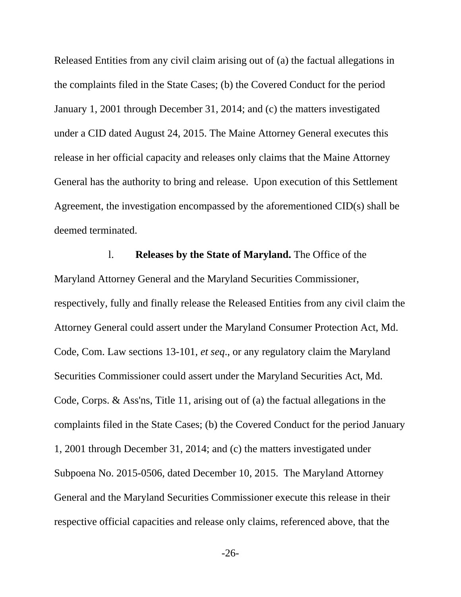Released Entities from any civil claim arising out of (a) the factual allegations in the complaints filed in the State Cases; (b) the Covered Conduct for the period January 1, 2001 through December 31, 2014; and (c) the matters investigated under a CID dated August 24, 2015. The Maine Attorney General executes this release in her official capacity and releases only claims that the Maine Attorney General has the authority to bring and release. Upon execution of this Settlement Agreement, the investigation encompassed by the aforementioned CID(s) shall be deemed terminated.

l. **Releases by the State of Maryland.** The Office of the Maryland Attorney General and the Maryland Securities Commissioner, respectively, fully and finally release the Released Entities from any civil claim the Attorney General could assert under the Maryland Consumer Protection Act, Md. Code, Com. Law sections 13-101, *et seq*., or any regulatory claim the Maryland Securities Commissioner could assert under the Maryland Securities Act, Md. Code, Corps. & Ass'ns, Title 11, arising out of (a) the factual allegations in the complaints filed in the State Cases; (b) the Covered Conduct for the period January 1, 2001 through December 31, 2014; and (c) the matters investigated under Subpoena No. 2015-0506, dated December 10, 2015. The Maryland Attorney General and the Maryland Securities Commissioner execute this release in their respective official capacities and release only claims, referenced above, that the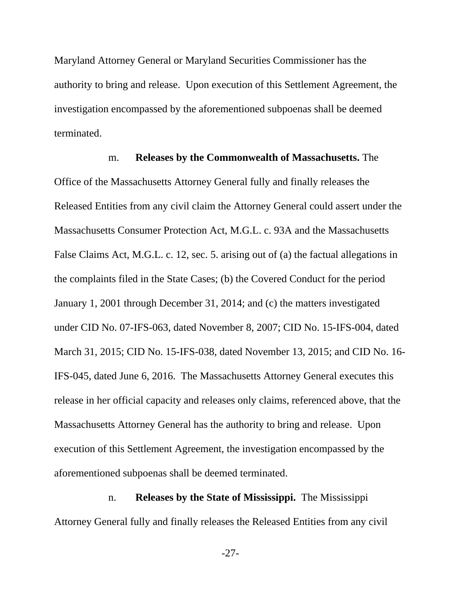Maryland Attorney General or Maryland Securities Commissioner has the authority to bring and release. Upon execution of this Settlement Agreement, the investigation encompassed by the aforementioned subpoenas shall be deemed terminated.

m. **Releases by the Commonwealth of Massachusetts.** The Office of the Massachusetts Attorney General fully and finally releases the Released Entities from any civil claim the Attorney General could assert under the Massachusetts Consumer Protection Act, M.G.L. c. 93A and the Massachusetts False Claims Act, M.G.L. c. 12, sec. 5. arising out of (a) the factual allegations in the complaints filed in the State Cases; (b) the Covered Conduct for the period January 1, 2001 through December 31, 2014; and (c) the matters investigated under CID No. 07-IFS-063, dated November 8, 2007; CID No. 15-IFS-004, dated March 31, 2015; CID No. 15-IFS-038, dated November 13, 2015; and CID No. 16- IFS-045, dated June 6, 2016. The Massachusetts Attorney General executes this release in her official capacity and releases only claims, referenced above, that the Massachusetts Attorney General has the authority to bring and release. Upon execution of this Settlement Agreement, the investigation encompassed by the aforementioned subpoenas shall be deemed terminated.

n. **Releases by the State of Mississippi.** The Mississippi Attorney General fully and finally releases the Released Entities from any civil

-27-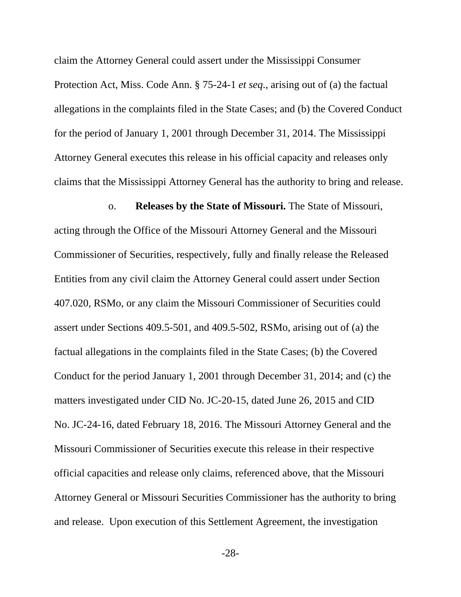claim the Attorney General could assert under the Mississippi Consumer Protection Act, Miss. Code Ann. § 75-24-1 *et seq*., arising out of (a) the factual allegations in the complaints filed in the State Cases; and (b) the Covered Conduct for the period of January 1, 2001 through December 31, 2014. The Mississippi Attorney General executes this release in his official capacity and releases only claims that the Mississippi Attorney General has the authority to bring and release.

o. **Releases by the State of Missouri.** The State of Missouri, acting through the Office of the Missouri Attorney General and the Missouri Commissioner of Securities, respectively, fully and finally release the Released Entities from any civil claim the Attorney General could assert under Section 407.020, RSMo, or any claim the Missouri Commissioner of Securities could assert under Sections 409.5-501, and 409.5-502, RSMo, arising out of (a) the factual allegations in the complaints filed in the State Cases; (b) the Covered Conduct for the period January 1, 2001 through December 31, 2014; and (c) the matters investigated under CID No. JC-20-15, dated June 26, 2015 and CID No. JC-24-16, dated February 18, 2016. The Missouri Attorney General and the Missouri Commissioner of Securities execute this release in their respective official capacities and release only claims, referenced above, that the Missouri Attorney General or Missouri Securities Commissioner has the authority to bring and release. Upon execution of this Settlement Agreement, the investigation

-28-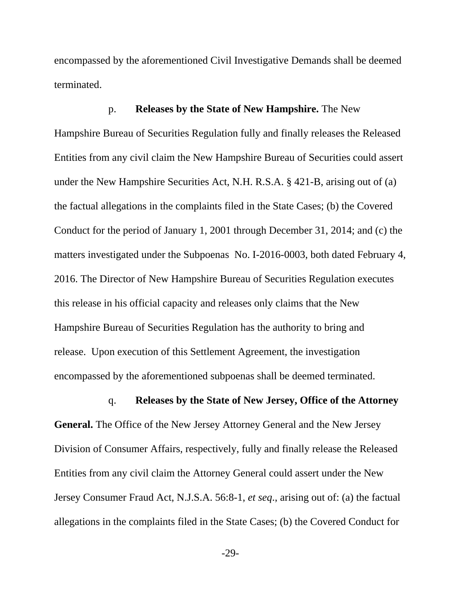encompassed by the aforementioned Civil Investigative Demands shall be deemed terminated.

## p. **Releases by the State of New Hampshire.** The New

Hampshire Bureau of Securities Regulation fully and finally releases the Released Entities from any civil claim the New Hampshire Bureau of Securities could assert under the New Hampshire Securities Act, N.H. R.S.A. § 421-B, arising out of (a) the factual allegations in the complaints filed in the State Cases; (b) the Covered Conduct for the period of January 1, 2001 through December 31, 2014; and (c) the matters investigated under the Subpoenas No. I-2016-0003, both dated February 4, 2016. The Director of New Hampshire Bureau of Securities Regulation executes this release in his official capacity and releases only claims that the New Hampshire Bureau of Securities Regulation has the authority to bring and release. Upon execution of this Settlement Agreement, the investigation encompassed by the aforementioned subpoenas shall be deemed terminated.

### q. **Releases by the State of New Jersey, Office of the Attorney**

**General.** The Office of the New Jersey Attorney General and the New Jersey Division of Consumer Affairs, respectively, fully and finally release the Released Entities from any civil claim the Attorney General could assert under the New Jersey Consumer Fraud Act, N.J.S.A. 56:8-1, *et seq*., arising out of: (a) the factual allegations in the complaints filed in the State Cases; (b) the Covered Conduct for

-29-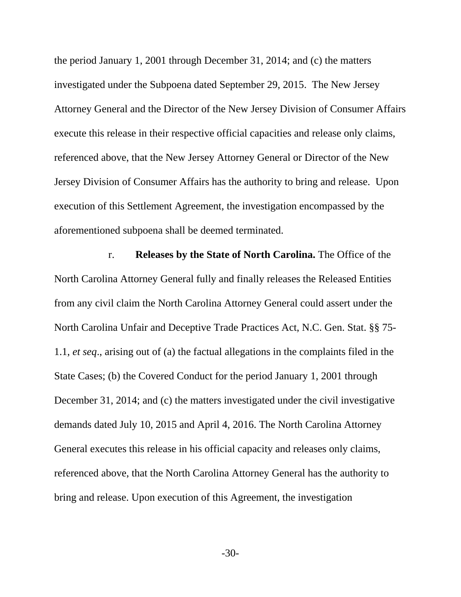the period January 1, 2001 through December 31, 2014; and (c) the matters investigated under the Subpoena dated September 29, 2015. The New Jersey Attorney General and the Director of the New Jersey Division of Consumer Affairs execute this release in their respective official capacities and release only claims, referenced above, that the New Jersey Attorney General or Director of the New Jersey Division of Consumer Affairs has the authority to bring and release. Upon execution of this Settlement Agreement, the investigation encompassed by the aforementioned subpoena shall be deemed terminated.

r. **Releases by the State of North Carolina.** The Office of the North Carolina Attorney General fully and finally releases the Released Entities from any civil claim the North Carolina Attorney General could assert under the North Carolina Unfair and Deceptive Trade Practices Act, N.C. Gen. Stat. §§ 75- 1.1, *et seq*., arising out of (a) the factual allegations in the complaints filed in the State Cases; (b) the Covered Conduct for the period January 1, 2001 through December 31, 2014; and (c) the matters investigated under the civil investigative demands dated July 10, 2015 and April 4, 2016. The North Carolina Attorney General executes this release in his official capacity and releases only claims, referenced above, that the North Carolina Attorney General has the authority to bring and release. Upon execution of this Agreement, the investigation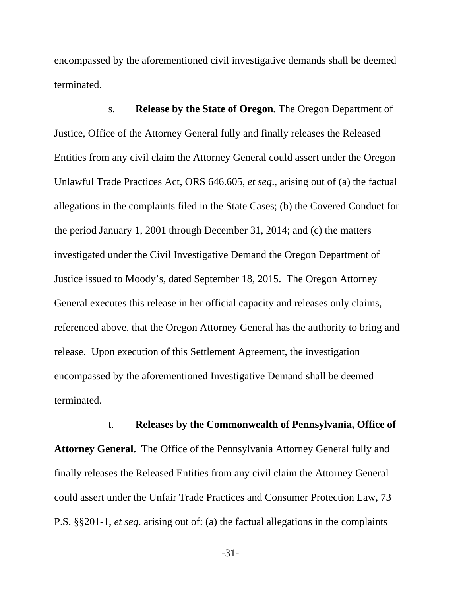encompassed by the aforementioned civil investigative demands shall be deemed terminated.

s. **Release by the State of Oregon.** The Oregon Department of Justice, Office of the Attorney General fully and finally releases the Released Entities from any civil claim the Attorney General could assert under the Oregon Unlawful Trade Practices Act, ORS 646.605, *et seq*., arising out of (a) the factual allegations in the complaints filed in the State Cases; (b) the Covered Conduct for the period January 1, 2001 through December 31, 2014; and (c) the matters investigated under the Civil Investigative Demand the Oregon Department of Justice issued to Moody's, dated September 18, 2015. The Oregon Attorney General executes this release in her official capacity and releases only claims, referenced above, that the Oregon Attorney General has the authority to bring and release. Upon execution of this Settlement Agreement, the investigation encompassed by the aforementioned Investigative Demand shall be deemed terminated.

t. **Releases by the Commonwealth of Pennsylvania, Office of Attorney General.** The Office of the Pennsylvania Attorney General fully and finally releases the Released Entities from any civil claim the Attorney General could assert under the Unfair Trade Practices and Consumer Protection Law, 73 P.S. §§201-1, *et seq*. arising out of: (a) the factual allegations in the complaints

-31-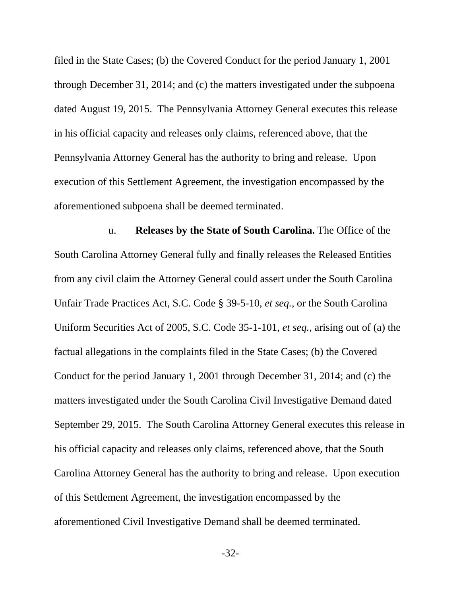filed in the State Cases; (b) the Covered Conduct for the period January 1, 2001 through December 31, 2014; and (c) the matters investigated under the subpoena dated August 19, 2015. The Pennsylvania Attorney General executes this release in his official capacity and releases only claims, referenced above, that the Pennsylvania Attorney General has the authority to bring and release. Upon execution of this Settlement Agreement, the investigation encompassed by the aforementioned subpoena shall be deemed terminated.

u. **Releases by the State of South Carolina.** The Office of the South Carolina Attorney General fully and finally releases the Released Entities from any civil claim the Attorney General could assert under the South Carolina Unfair Trade Practices Act, S.C. Code § 39-5-10, *et seq.,* or the South Carolina Uniform Securities Act of 2005, S.C. Code 35-1-101, *et seq.,* arising out of (a) the factual allegations in the complaints filed in the State Cases; (b) the Covered Conduct for the period January 1, 2001 through December 31, 2014; and (c) the matters investigated under the South Carolina Civil Investigative Demand dated September 29, 2015. The South Carolina Attorney General executes this release in his official capacity and releases only claims, referenced above, that the South Carolina Attorney General has the authority to bring and release. Upon execution of this Settlement Agreement, the investigation encompassed by the aforementioned Civil Investigative Demand shall be deemed terminated.

-32-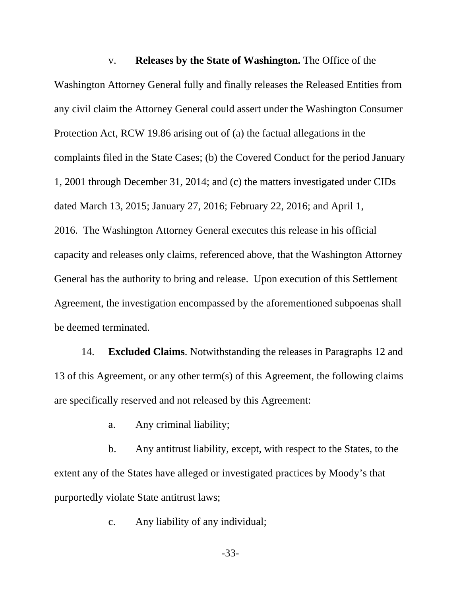v. **Releases by the State of Washington.** The Office of the Washington Attorney General fully and finally releases the Released Entities from any civil claim the Attorney General could assert under the Washington Consumer Protection Act, RCW 19.86 arising out of (a) the factual allegations in the complaints filed in the State Cases; (b) the Covered Conduct for the period January 1, 2001 through December 31, 2014; and (c) the matters investigated under CIDs dated March 13, 2015; January 27, 2016; February 22, 2016; and April 1, 2016. The Washington Attorney General executes this release in his official capacity and releases only claims, referenced above, that the Washington Attorney General has the authority to bring and release. Upon execution of this Settlement Agreement, the investigation encompassed by the aforementioned subpoenas shall be deemed terminated.

14. **Excluded Claims**. Notwithstanding the releases in Paragraphs 12 and 13 of this Agreement, or any other term(s) of this Agreement, the following claims are specifically reserved and not released by this Agreement:

a. Any criminal liability;

b. Any antitrust liability, except, with respect to the States, to the extent any of the States have alleged or investigated practices by Moody's that purportedly violate State antitrust laws;

c. Any liability of any individual;

-33-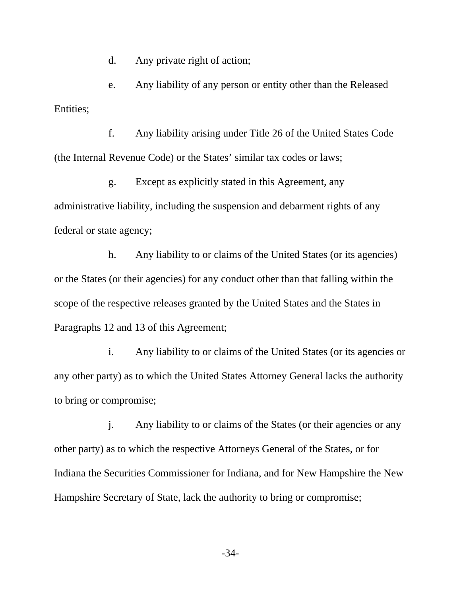d. Any private right of action;

e. Any liability of any person or entity other than the Released Entities;

f. Any liability arising under Title 26 of the United States Code (the Internal Revenue Code) or the States' similar tax codes or laws;

g. Except as explicitly stated in this Agreement, any administrative liability, including the suspension and debarment rights of any federal or state agency;

h. Any liability to or claims of the United States (or its agencies) or the States (or their agencies) for any conduct other than that falling within the scope of the respective releases granted by the United States and the States in Paragraphs 12 and 13 of this Agreement;

i. Any liability to or claims of the United States (or its agencies or any other party) as to which the United States Attorney General lacks the authority to bring or compromise;

j. Any liability to or claims of the States (or their agencies or any other party) as to which the respective Attorneys General of the States, or for Indiana the Securities Commissioner for Indiana, and for New Hampshire the New Hampshire Secretary of State, lack the authority to bring or compromise;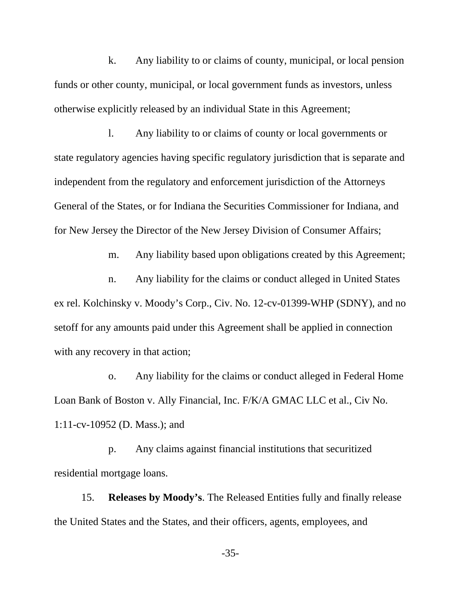k. Any liability to or claims of county, municipal, or local pension funds or other county, municipal, or local government funds as investors, unless otherwise explicitly released by an individual State in this Agreement;

l. Any liability to or claims of county or local governments or state regulatory agencies having specific regulatory jurisdiction that is separate and independent from the regulatory and enforcement jurisdiction of the Attorneys General of the States, or for Indiana the Securities Commissioner for Indiana, and for New Jersey the Director of the New Jersey Division of Consumer Affairs;

m. Any liability based upon obligations created by this Agreement;

n. Any liability for the claims or conduct alleged in United States ex rel. Kolchinsky v. Moody's Corp., Civ. No. 12-cv-01399-WHP (SDNY), and no setoff for any amounts paid under this Agreement shall be applied in connection with any recovery in that action;

o. Any liability for the claims or conduct alleged in Federal Home Loan Bank of Boston v. Ally Financial, Inc. F/K/A GMAC LLC et al., Civ No. 1:11-cv-10952 (D. Mass.); and

p. Any claims against financial institutions that securitized residential mortgage loans.

15. **Releases by Moody's**. The Released Entities fully and finally release the United States and the States, and their officers, agents, employees, and

-35-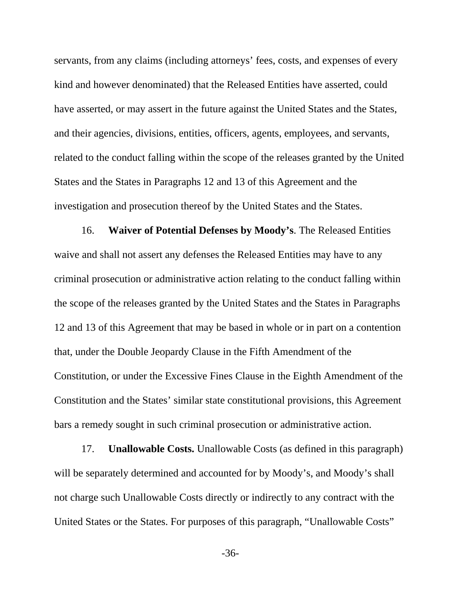servants, from any claims (including attorneys' fees, costs, and expenses of every kind and however denominated) that the Released Entities have asserted, could have asserted, or may assert in the future against the United States and the States, and their agencies, divisions, entities, officers, agents, employees, and servants, related to the conduct falling within the scope of the releases granted by the United States and the States in Paragraphs 12 and 13 of this Agreement and the investigation and prosecution thereof by the United States and the States.

16. **Waiver of Potential Defenses by Moody's**. The Released Entities waive and shall not assert any defenses the Released Entities may have to any criminal prosecution or administrative action relating to the conduct falling within the scope of the releases granted by the United States and the States in Paragraphs 12 and 13 of this Agreement that may be based in whole or in part on a contention that, under the Double Jeopardy Clause in the Fifth Amendment of the Constitution, or under the Excessive Fines Clause in the Eighth Amendment of the Constitution and the States' similar state constitutional provisions, this Agreement bars a remedy sought in such criminal prosecution or administrative action.

17. **Unallowable Costs.** Unallowable Costs (as defined in this paragraph) will be separately determined and accounted for by Moody's, and Moody's shall not charge such Unallowable Costs directly or indirectly to any contract with the United States or the States. For purposes of this paragraph, "Unallowable Costs"

-36-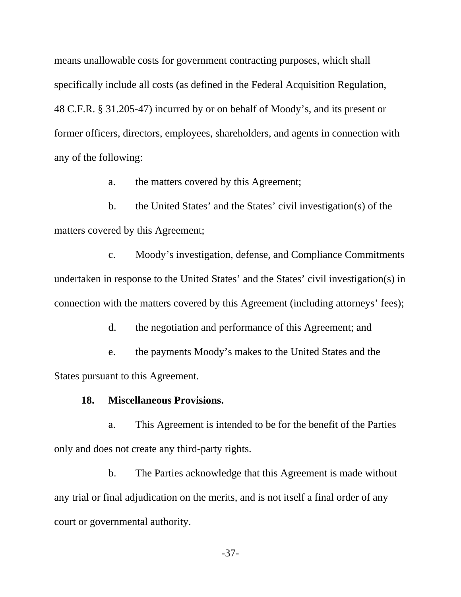means unallowable costs for government contracting purposes, which shall specifically include all costs (as defined in the Federal Acquisition Regulation, 48 C.F.R. § 31.205-47) incurred by or on behalf of Moody's, and its present or former officers, directors, employees, shareholders, and agents in connection with any of the following:

a. the matters covered by this Agreement;

b. the United States' and the States' civil investigation(s) of the matters covered by this Agreement;

c. Moody's investigation, defense, and Compliance Commitments undertaken in response to the United States' and the States' civil investigation(s) in connection with the matters covered by this Agreement (including attorneys' fees);

d. the negotiation and performance of this Agreement; and

e. the payments Moody's makes to the United States and the States pursuant to this Agreement.

## **18. Miscellaneous Provisions.**

a. This Agreement is intended to be for the benefit of the Parties only and does not create any third-party rights.

b. The Parties acknowledge that this Agreement is made without any trial or final adjudication on the merits, and is not itself a final order of any court or governmental authority.

-37-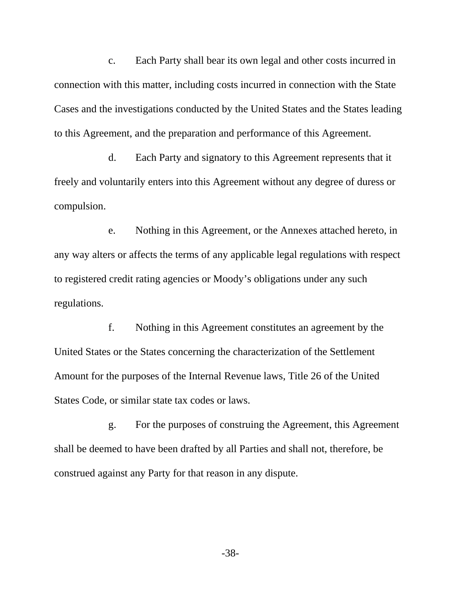c. Each Party shall bear its own legal and other costs incurred in connection with this matter, including costs incurred in connection with the State Cases and the investigations conducted by the United States and the States leading to this Agreement, and the preparation and performance of this Agreement.

d. Each Party and signatory to this Agreement represents that it freely and voluntarily enters into this Agreement without any degree of duress or compulsion.

e. Nothing in this Agreement, or the Annexes attached hereto, in any way alters or affects the terms of any applicable legal regulations with respect to registered credit rating agencies or Moody's obligations under any such regulations.

f. Nothing in this Agreement constitutes an agreement by the United States or the States concerning the characterization of the Settlement Amount for the purposes of the Internal Revenue laws, Title 26 of the United States Code, or similar state tax codes or laws.

g. For the purposes of construing the Agreement, this Agreement shall be deemed to have been drafted by all Parties and shall not, therefore, be construed against any Party for that reason in any dispute.

-38-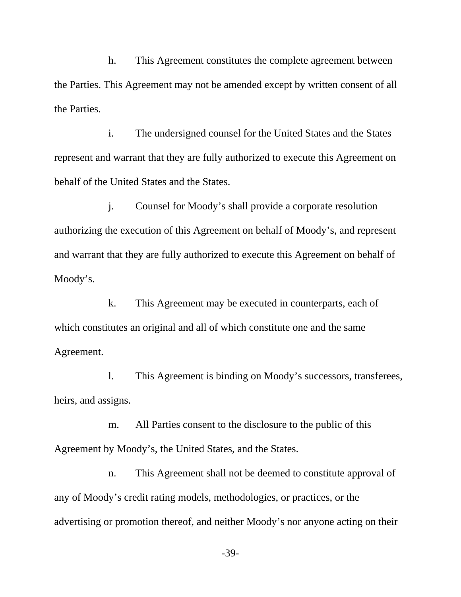h. This Agreement constitutes the complete agreement between the Parties. This Agreement may not be amended except by written consent of all the Parties.

i. The undersigned counsel for the United States and the States represent and warrant that they are fully authorized to execute this Agreement on behalf of the United States and the States.

j. Counsel for Moody's shall provide a corporate resolution authorizing the execution of this Agreement on behalf of Moody's, and represent and warrant that they are fully authorized to execute this Agreement on behalf of Moody's.

k. This Agreement may be executed in counterparts, each of which constitutes an original and all of which constitute one and the same Agreement.

l. This Agreement is binding on Moody's successors, transferees, heirs, and assigns.

m. All Parties consent to the disclosure to the public of this Agreement by Moody's, the United States, and the States.

n. This Agreement shall not be deemed to constitute approval of any of Moody's credit rating models, methodologies, or practices, or the advertising or promotion thereof, and neither Moody's nor anyone acting on their

-39-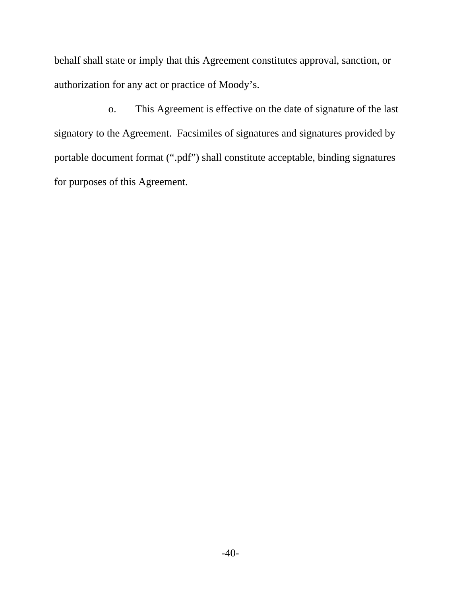behalf shall state or imply that this Agreement constitutes approval, sanction, or authorization for any act or practice of Moody's.

o. This Agreement is effective on the date of signature of the last signatory to the Agreement. Facsimiles of signatures and signatures provided by portable document format (".pdf") shall constitute acceptable, binding signatures for purposes of this Agreement.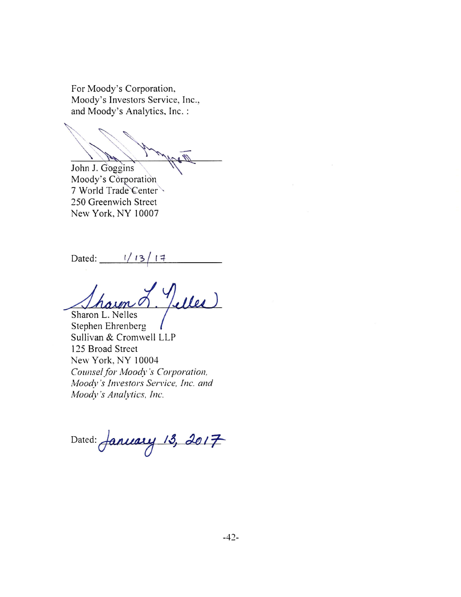For Moody's Corporation, Moody's Investors Service, Inc., and Moody's Analytics, Inc.:

John J. Goggins

Moody's Corporation 7 World Trade Center 250 Greenwich Street New York, NY 10007

Dated:  $1/13/17$ 

Telles Sharon L. Nelles

Stephen Ehrenberg Sullivan & Cromwell LLP 125 Broad Street New York, NY 10004 Counsel for Moody's Corporation, Moody's Investors Service, Inc. and Moody's Analytics, Inc.

Dated: January 13, 2017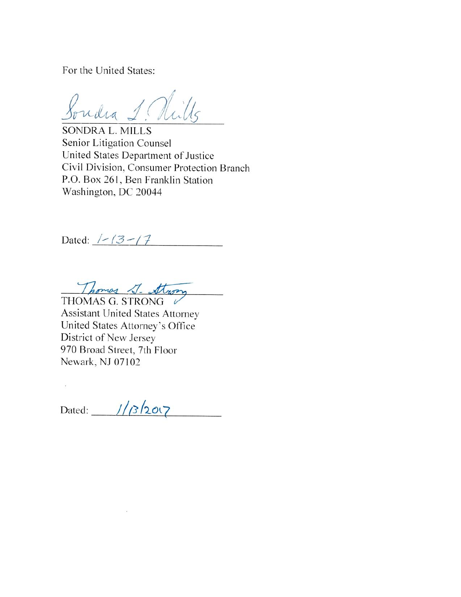For the United States:

Soudra 1. Nills

**SONDRA L. MILLS** Senior Litigation Counsel United States Department of Justice Civil Division, Consumer Protection Branch P.O. Box 261, Ben Franklin Station Washington, DC 20044

Dated:  $1 - 13 - 17$ 

Thomas 1- Strong

**Assistant United States Attorney** United States Attorney's Office District of New Jersey 970 Broad Street, 7th Floor Newark, NJ 07102

 $\tilde{u}$ 

Dated:  $1/3/2007$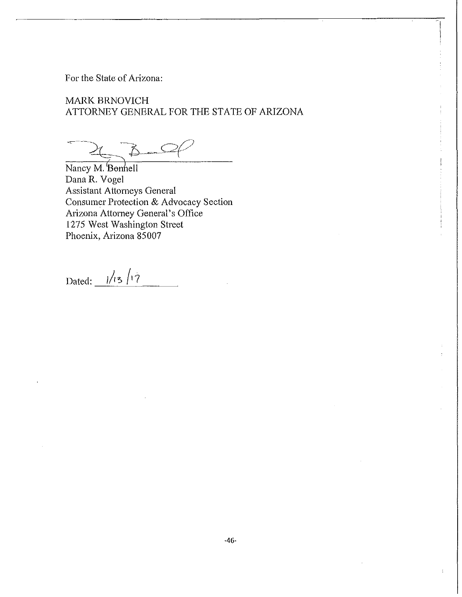For the State of Arizona:

MARK BRNOVICH ATTORNEY GENERAL FOR THE STATE OF ARIZONA

 $B-C$ 

Nancy M. Bonnell<br>Dana R. Vogel Assistant Attorneys General Consumer Protection & Advocacy Section Arizona Attorney General's Office 1275 West Washington Street Phoenix, Arizona 85007

Dated:  $\frac{1}{13}$ /17

 $\overline{\mathcal{I}}$ 

 $\frac{1}{2}$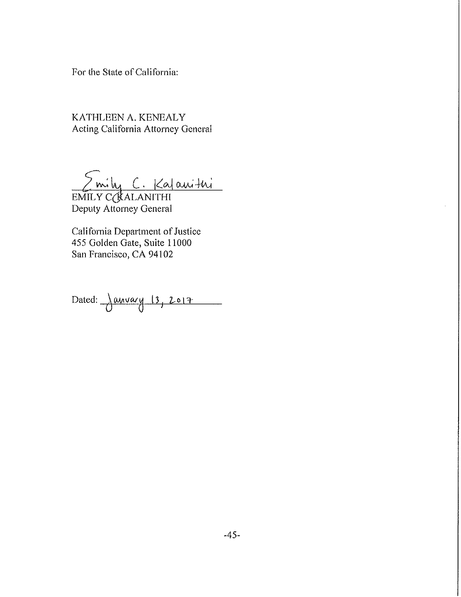For the State of California:

KATHLEEN A. KENEALY Acting California Attorney General

EMILY CORALANITHI

Deputy Attorney General

California Department of Justice 455 Golden Gate, Suite 11000 San Francisco, CA 94102

Dated:  $\frac{\text{away } 13, 2017}{}$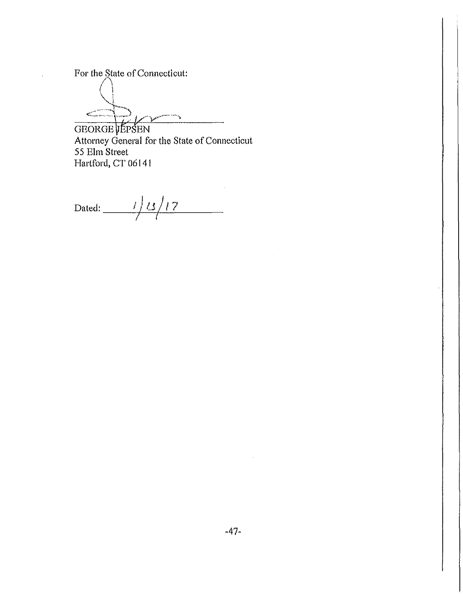For the State of Connecticut:

**/ A-** *(* **<sup>1</sup>**  $\left(\frac{1}{2}\right)$ **~ .** 

GEORGE JÉPSEN Attorney General for the State of Connecticut 55 Elm Street Hartford, CT 06141

Dated: 1/15/17 *r*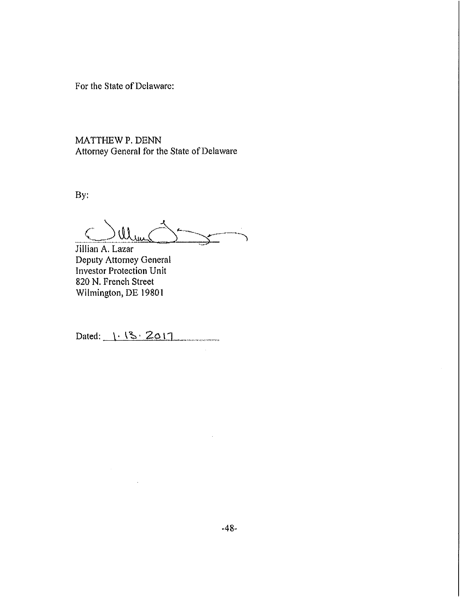For the State of Delaware:

MATTHEW P. DENN Attorney General for the State of Delaware

By:

Mun

Jillian A. Lazar Deputy Attorney General Investor Protection Unit 820 N. French Street Wilmington, DE 19801

Dated:  $1.13.2017$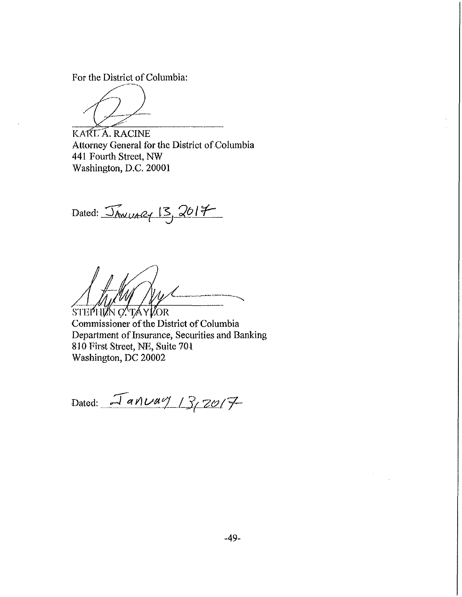For the District of Columbia:

KARLA.RACINE Attorney General for the District of Columbia 441 Fourth Street, NW Washington, D.C. 20001

Dated:  $\sqrt{20/7}$   $\frac{13}{2017}$ 

STEPHIAN O. TAYLOR

Commissioner of the District of Columbia Department of Insurance, Securities and Banking 830 First Street, NE, Suite 701 Washington, DC 20002

Dated: <u>January</u> 13,2017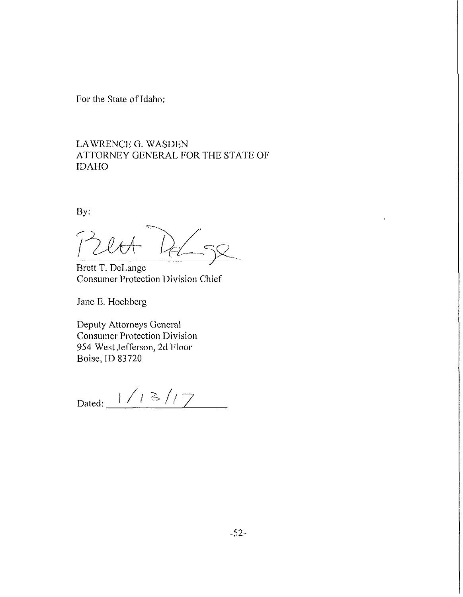For the State of Idaho:

LAWRENCE G. WASDEN ATTORNEY GENERAL FOR THE STATE OF IDAHO

By:

 $2lrt$ 

Brett T. DeLange Consumer Protection Division Chief

Jane E. Hochberg

Deputy Attorneys General Consumer Protection Division 954 West Jefferson, 2d Floor Boise, ID 83720

Dated:  $1/13/7$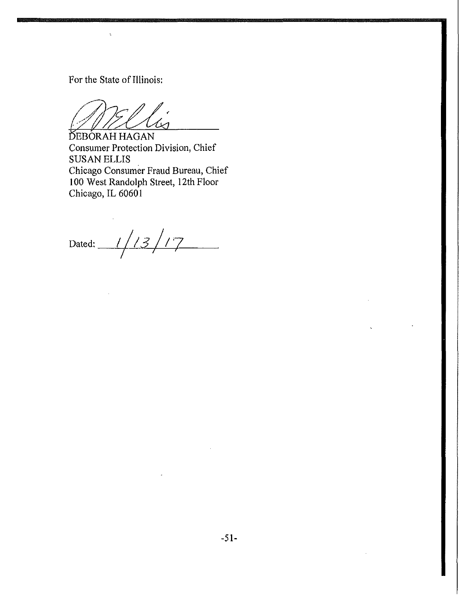For the State of Illinois:

 $\ddot{\phantom{a}}$ 

DEBORAH HAGAN Consumer Protection Division, Chief SUSAN ELLIS Chicago Consumer Fraud Bureau, Chief 100 West Randolph Street, 12th Floor Chicago, IL 60601

Dated: //*13/17*  $\mathbf{r}$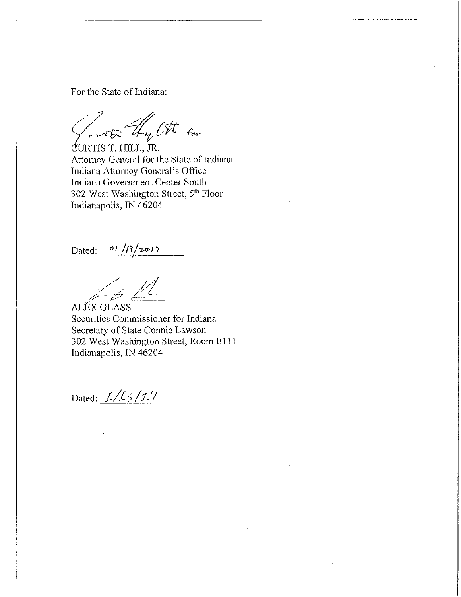For the State of Indiana:

Letter thy Ott for

(iURTIS T. HILL, JR. Attorney General for the State of Indiana Indiana Attorney General's Office Indiana Government Center South 302 West Washington Street, 5<sup>th</sup> Floor Indianapolis, IN 46204

Dated: <sup>01</sup>/B/2017

Securities Commissioner for Indiana Secretary of State Connie Lawson 302 West Washington Street, Room El 11 Indianapolis, IN 46204 ALEX GLASS

Dated: *1/13/17*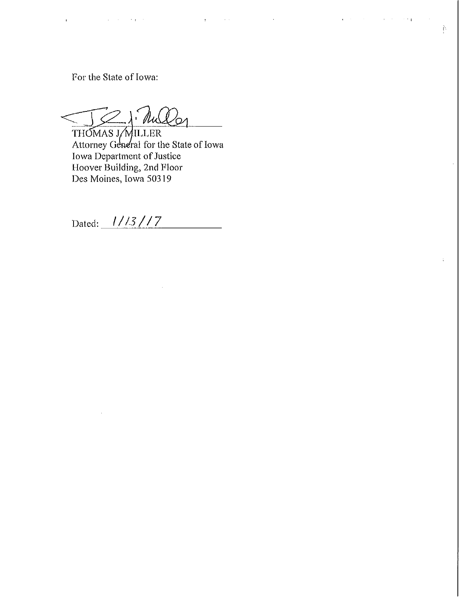For the State of Iowa:

 $\mathcal{L}^{\text{max}}(\mathcal{L}^{\text{max}})$  , where  $\mathcal{L}^{\text{max}}$ 

 $21 - 10$ ∕⊘

THOMAS J/MILLER Attorney General for the State of Iowa Iowa Department of Justice Hoover Building, 2nd Floor Des Moines, Iowa 50319

Dated: 1/13/17

San Alberta

 $\mathbf{q} = \mathbf{q} \times \mathbf{q}$  ,  $\mathbf{q} = \mathbf{q}$ 

 $\sim 10^7$ 

 $\bar{\Psi}$ 

 $\Delta \sim 10^7$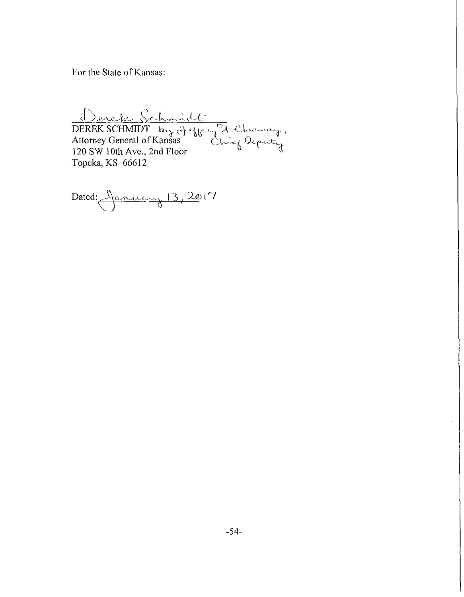For the State of Kansas:

*KcM* ^-yy-—V *cL't*   $DEREK SCHMIDT$  ,  $h_{12}$  of effecting  $\lambda$  allowing, Attorney General of Kansas C,U^.v *t:<sup>t</sup>* 120 SW 10th Ave., 2nd Floor  $\frac{0}{3}$ Topeka, KS 66612

Dated: <u>January 13, 20</u>17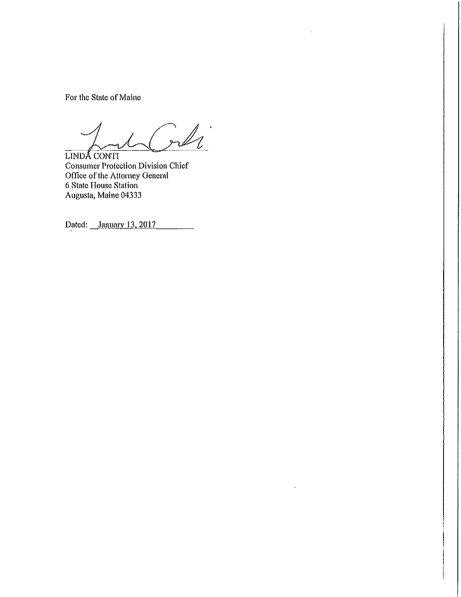For the State of Maine

 $\mathbb{Z}_l$ 

 $\ddot{\phantom{0}}$ 

 $\bar{z}$ 

LINDA CONTI Consumer Protection Division Chief Office of the Attorney General 6 State House Station Augusta, Maine 04333

Dated: January 13, 2017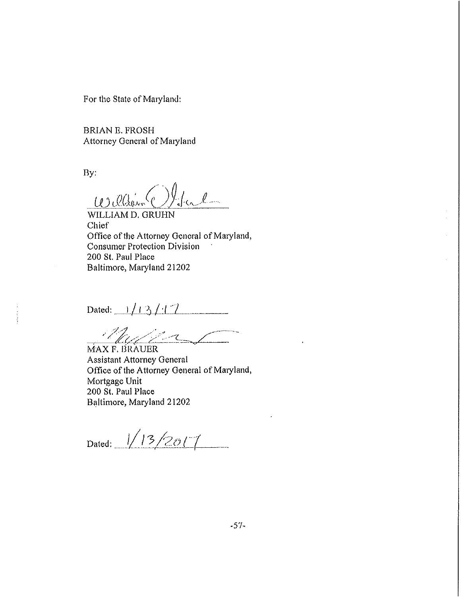For the State of Maryland:

BRIAN E. FROSH Attorney General of Maiyland

By:

 $\mu$ ) <u>*Observ* () to l</u>

WILLIAM D. GRUHN Chief Office of the Attorney General of Maryland, Consumer Protection Division ' 200 St. Paul Place Baltimore, Maryland 21202

Dated:  $1/13/17$ 

MAX F. BRAUER

Assistant Attorney General Office of the Attorney General of Maryland, Mortgage Unit 200 St. Paul Place Baltimore, Maryland 21202

Dated:  $1/13/2017$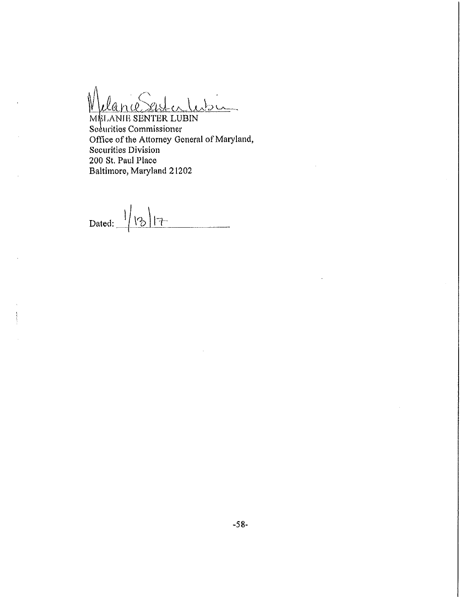MELANIE SENTER LUBIN Securities Commissioner Office of the Attorney General of Maryland, Securities Division 200 St. Paul Place Baltimore, Maryland 21202

Dated:  $\frac{1}{3}$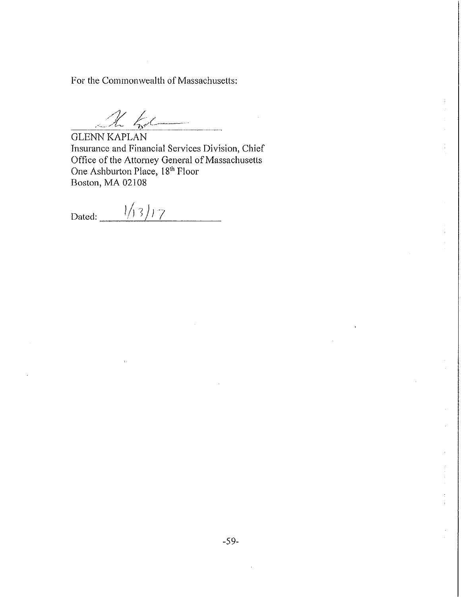For the Commonwealth of Massachusetts:

 $\underline{\mathcal{U}}$   $\overline{\mathcal{U}}$ 

GLENN KAPLAN Insurance and Financial Services Division, Chief Office of the Attorney General of Massachusetts One Ashburton Place, 18<sup>th</sup> Floor Boston, MA 02108

Dated:  $\frac{1}{13}$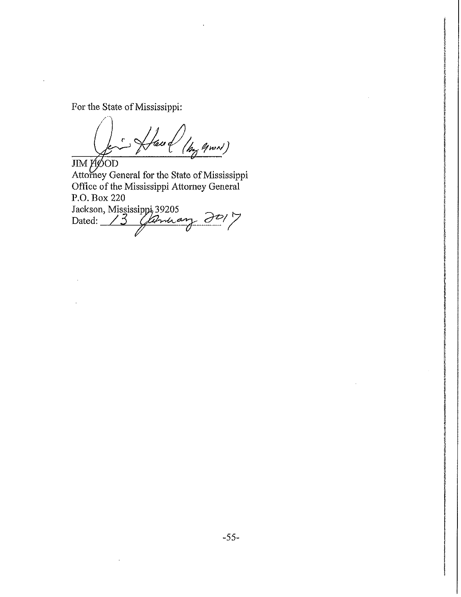For the State of Mississippi:

Haud )<br>(hy gwn)  $\pmb{c}$ 

JIM HOOD Attorney General for the State of Mississippi Office of the Mississippi Attorney General P.O. Box 220 Jackson, Mississippi 39205 Dated: */* **3** *^*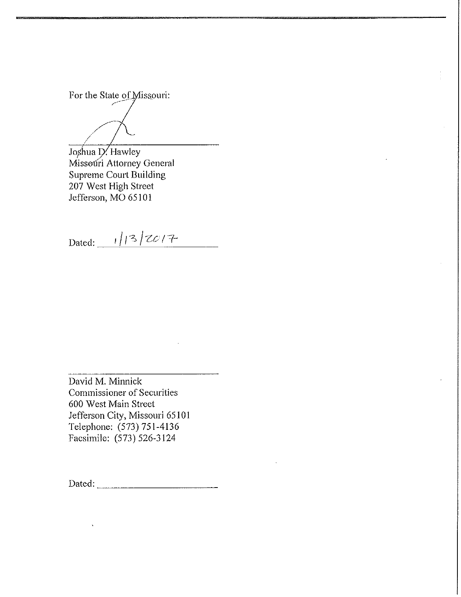For the State of Missouri:

**/' /** */* **/**  Joshua D. Hawley Missouri Attorney General Supreme Court Building 207 West High Street Jefferson, MO 65101

Dated:  $1/3/20/7$ 

David M. Minnick Commissioner of Securities 600 West Main Street Jefferson City, Missouri 65101 Telephone: (573) 751-4136 Facsimile: (573) 526-3124

Dated: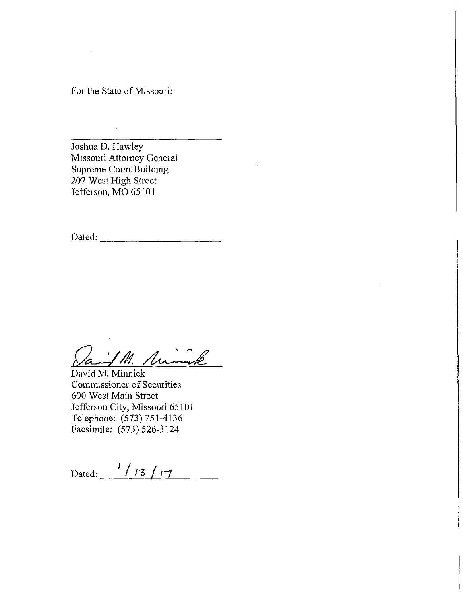For the State of Missouri:

Joshua D. Hawley Missouri Attorney General Supreme Court Building 207 West High Street Jefferson, MO 65101

Dated:  $\frac{1}{\sqrt{1-\frac{1}{2}} \cdot \frac{1}{\sqrt{1-\frac{1}{2}} \cdot \frac{1}{\sqrt{1-\frac{1}{2}} \cdot \frac{1}{\sqrt{1-\frac{1}{2}} \cdot \frac{1}{\sqrt{1-\frac{1}{2}} \cdot \frac{1}{\sqrt{1-\frac{1}{2}} \cdot \frac{1}{\sqrt{1-\frac{1}{2}} \cdot \frac{1}{\sqrt{1-\frac{1}{2}} \cdot \frac{1}{\sqrt{1-\frac{1}{2}} \cdot \frac{1}{\sqrt{1-\frac{1}{2}} \cdot \frac{1}{\sqrt{1-\frac{1}{2}} \cdot \frac{1}{\sqrt{1-\frac{1}{2$ 

Paint M. Minik

David M. Minnick Commissioner of Securities 600 West Main Street Jefferson City, Missouri 65101 Telephone: (573)751-4136 Facsimile: (573) 526-3124

Dated:  $\frac{1}{13}$  / 17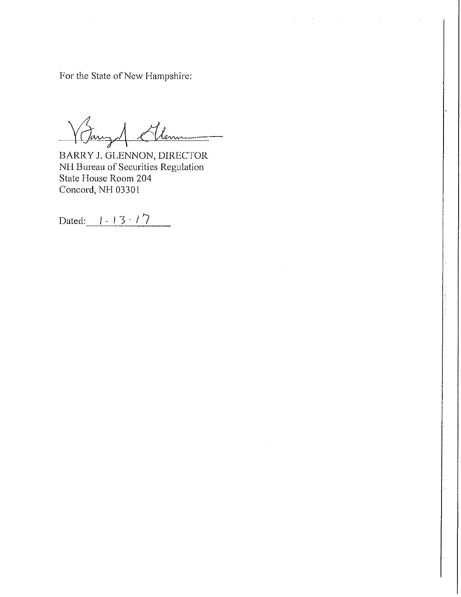For the State of New Hampshire:

1. Ellen

BARRY J. GLENNON, DIRECTOR NH Bureau of Securities Regulation State House Room 204 Concord, NH 03301

Dated:  $1 - 13 - 17$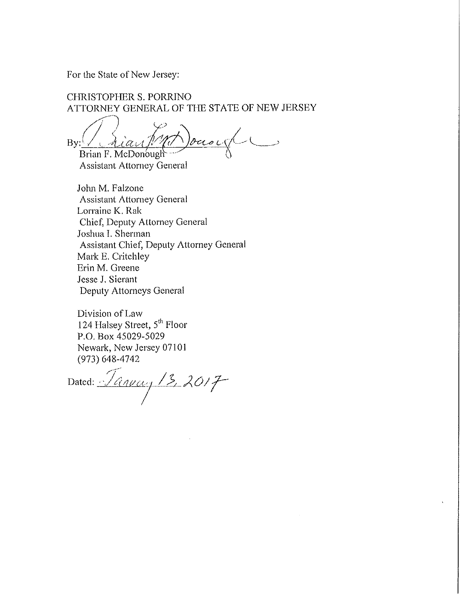For the State of New Jersey:

CHRISTOPHER S. PORRINO ATTORNEY GENERAL OF THE STATE OF NEW JERSEY

 $\frac{\partial u}{\partial t}$  $By:$ Brian F. McDonough

Assistant Attorney General

John M, Falzone Assistant Attorney General Lorraine K. Rak Chief, Deputy Attorney General Joshua I. Sherman Assistant Chief, Deputy Attorney General Mark E. Critchley Erin M. Greene Jesse J. Sierant Deputy Attorneys General

Division of Law 124 Halsey Street, 5<sup>th</sup> Floor P.O. Box 45029-5029 Newark, New Jersey 07101 (973) 648-4742

Dated: *January* 13, 2017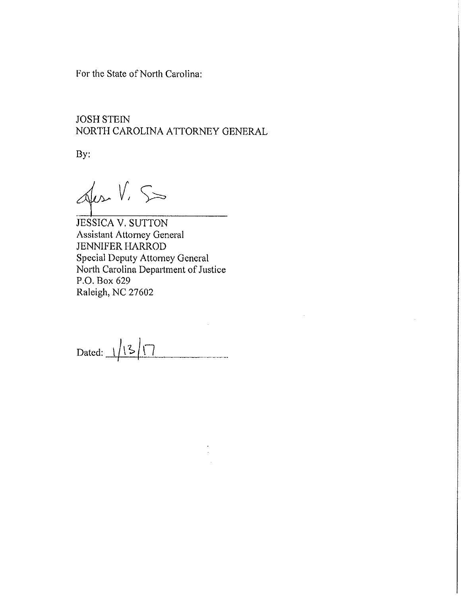For the State of North Carolina:

# JOSH STEIN NORTH CAROLINA ATTORNEY GENERAL

By:

Jes V. S

JESSICA V. SUTTON Assistant Attorney General JENNIFER HARROD Special Deputy Attorney General North Carolina Department of Justice P.O. Box 629 Raleigh, NC 27602

Dated:  $1/3/7$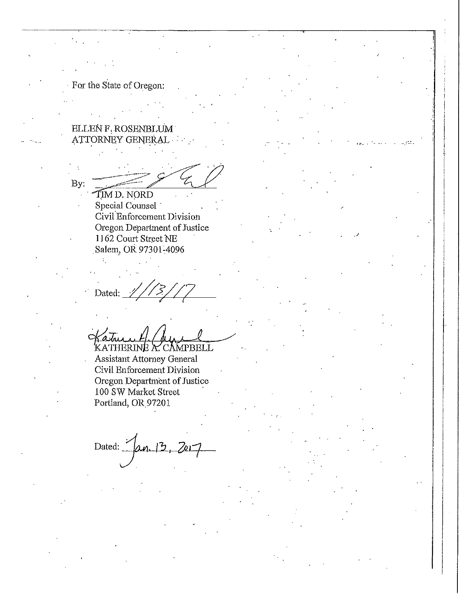For the State of Oregon;

ELLEN F. ROSENBLUM ATTORNEY GENERAL

By: ITM D. NORD

Special Counsel Civil Enforcement Division Oregon Department of Justice 1162 Court Street NE Salem, OR 97301^4096

Dated:

*hL fULIAJ-*—*JL,*  KATHERINE *K.* CAMPBELL

Assistant Attorney General Civil Enforcement Division Oregon Department of Justice 100 SW Market Street ' Portland, OR 97201

Dated: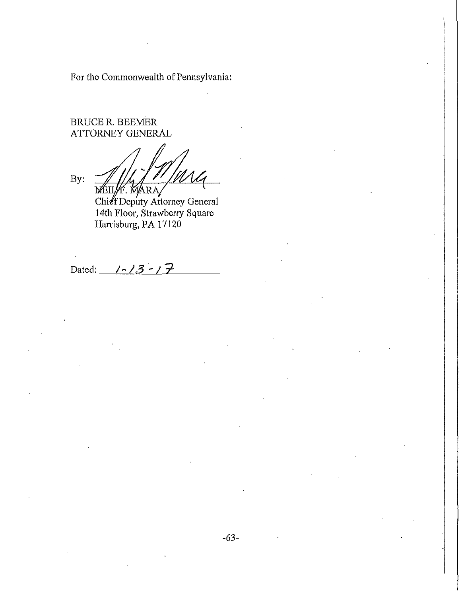For the Commonwealth of Pennsylvania:

**j** 

# BRUCE R. BEEMER ATTORNEY GENERAL

By: MARA

Chief Deputy Attorney General 14th Floor, Strawberry Square Harrisburg, PA 17120

Dated: 1-13 -17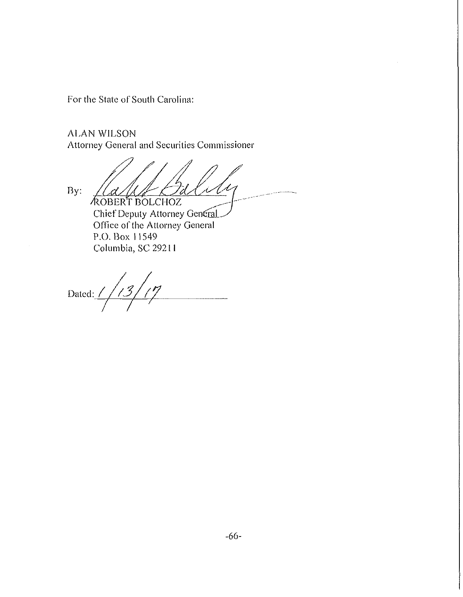For the State of South Carolina:

ALAN WILSON Attorney Genera! and Securities Commissioner

By: 'l d 1 d  $\sim$ 'ROBERT BOLCHOZ ^ Chief Deputy Attorney General

Office of the Attorney General P.O. Box 11549 Columbia, SC 29211

Dated:  $1/13/17$